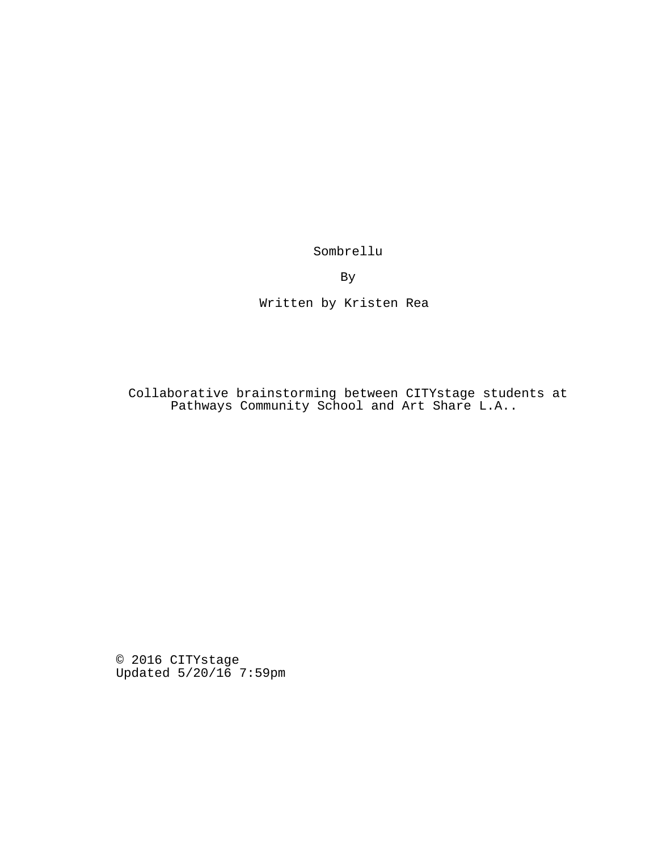Sombrellu

By

Written by Kristen Rea

Collaborative brainstorming between CITYstage students at Pathways Community School and Art Share L.A..

© 2016 CITYstage Updated 5/20/16 7:59pm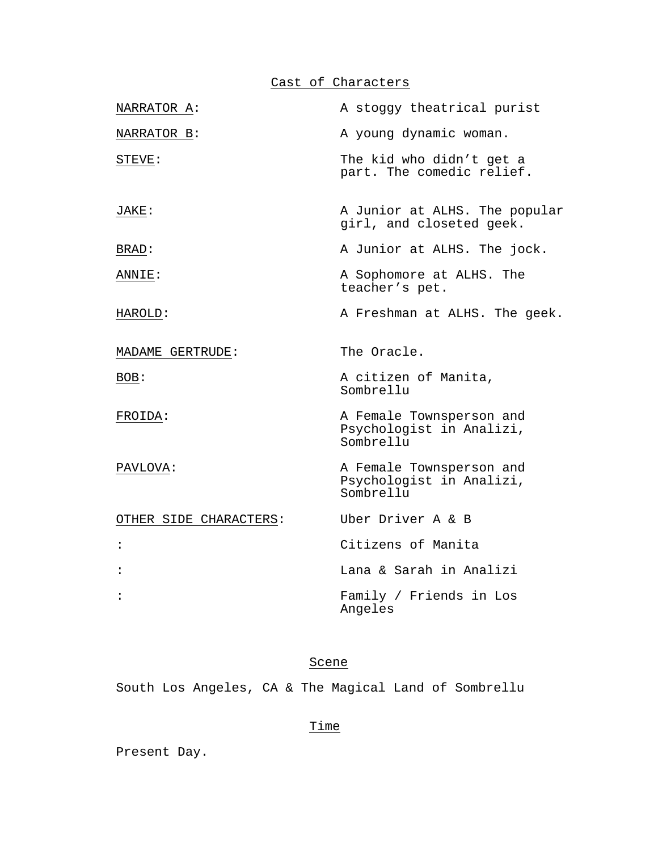Cast of Characters

| NARRATOR A:            | A stoggy theatrical purist                                        |
|------------------------|-------------------------------------------------------------------|
| NARRATOR B:            | A young dynamic woman.                                            |
| STEVE:                 | The kid who didn't get a<br>part. The comedic relief.             |
| JAKE:                  | A Junior at ALHS. The popular<br>girl, and closeted geek.         |
| BRAD:                  | A Junior at ALHS. The jock.                                       |
| ANNIE:                 | A Sophomore at ALHS. The<br>teacher's pet.                        |
| HAROLD:                | A Freshman at ALHS. The geek.                                     |
| MADAME GERTRUDE:       | The Oracle.                                                       |
| BOB:                   | A citizen of Manita,<br>Sombrellu                                 |
| FROIDA:                | A Female Townsperson and<br>Psychologist in Analizi,<br>Sombrellu |
| PAVLOVA:               | A Female Townsperson and<br>Psychologist in Analizi,<br>Sombrellu |
| OTHER SIDE CHARACTERS: | Uber Driver A & B                                                 |
| $\ddot{\cdot}$         | Citizens of Manita                                                |
| $\ddot{\cdot}$         | Lana & Sarah in Analizi                                           |
| $\ddot{\cdot}$         | Family / Friends in Los<br>Angeles                                |

# Scene

South Los Angeles, CA & The Magical Land of Sombrellu

# Time

Present Day.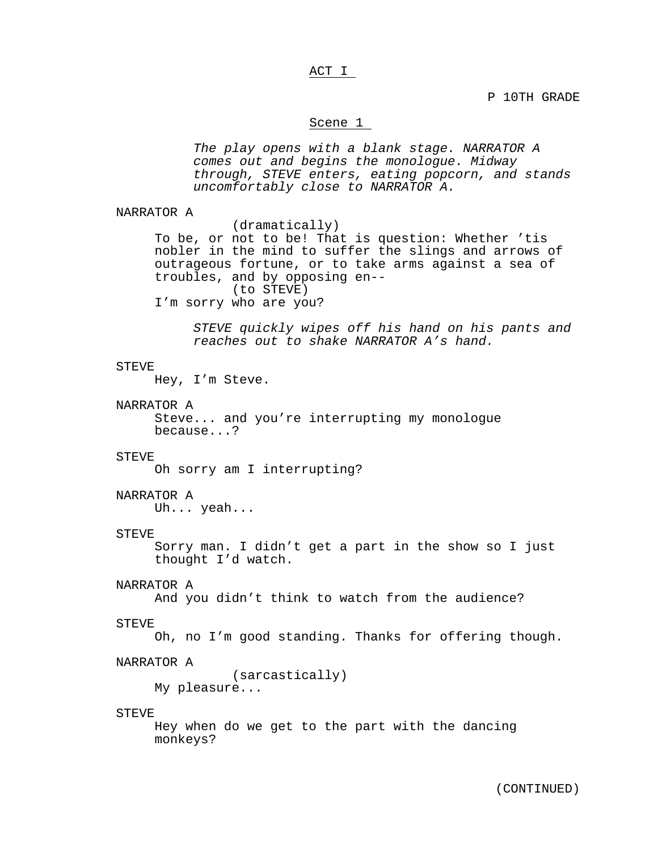## ACT I

P 10TH GRADE

## Scene 1

*The play opens with a blank stage. NARRATOR A comes out and begins the monologue. Midway through, STEVE enters, eating popcorn, and stands uncomfortably close to NARRATOR A.*

### NARRATOR A

(dramatically) To be, or not to be! That is question: Whether 'tis nobler in the mind to suffer the slings and arrows of outrageous fortune, or to take arms against a sea of troubles, and by opposing en-- (to STEVE) I'm sorry who are you?

*STEVE quickly wipes off his hand on his pants and reaches out to shake NARRATOR A's hand.*

### STEVE

Hey, I'm Steve.

#### NARRATOR A

Steve... and you're interrupting my monologue because...?

#### STEVE

Oh sorry am I interrupting?

#### NARRATOR A

Uh... yeah...

#### **STEVE**

Sorry man. I didn't get a part in the show so I just thought I'd watch.

#### NARRATOR A

And you didn't think to watch from the audience?

#### STEVE

Oh, no I'm good standing. Thanks for offering though.

## NARRATOR A

(sarcastically)

My pleasure...

### STEVE

Hey when do we get to the part with the dancing monkeys?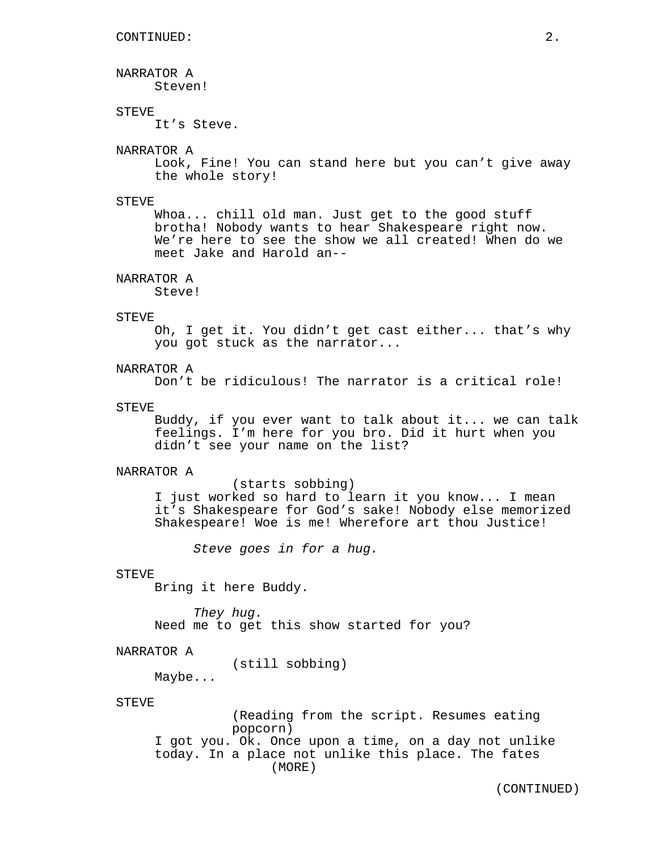# NARRATOR A

Steven!

# STEVE

It's Steve.

#### NARRATOR A

Look, Fine! You can stand here but you can't give away the whole story!

## **STEVE**

Whoa... chill old man. Just get to the good stuff brotha! Nobody wants to hear Shakespeare right now. We're here to see the show we all created! When do we meet Jake and Harold an--

## NARRATOR A

Steve!

### STEVE

Oh, I get it. You didn't get cast either... that's why you got stuck as the narrator...

## NARRATOR A

Don't be ridiculous! The narrator is a critical role!

### **STEVE**

Buddy, if you ever want to talk about it... we can talk feelings. I'm here for you bro. Did it hurt when you didn't see your name on the list?

## NARRATOR A

(starts sobbing) I just worked so hard to learn it you know... I mean it's Shakespeare for God's sake! Nobody else memorized Shakespeare! Woe is me! Wherefore art thou Justice!

*Steve goes in for a hug.*

#### STEVE

Bring it here Buddy.

*They hug.* Need me to get this show started for you?

## NARRATOR A

(still sobbing)

Maybe...

#### STEVE

(Reading from the script. Resumes eating popcorn) I got you. Ok. Once upon a time, on a day not unlike today. In a place not unlike this place. The fates (MORE)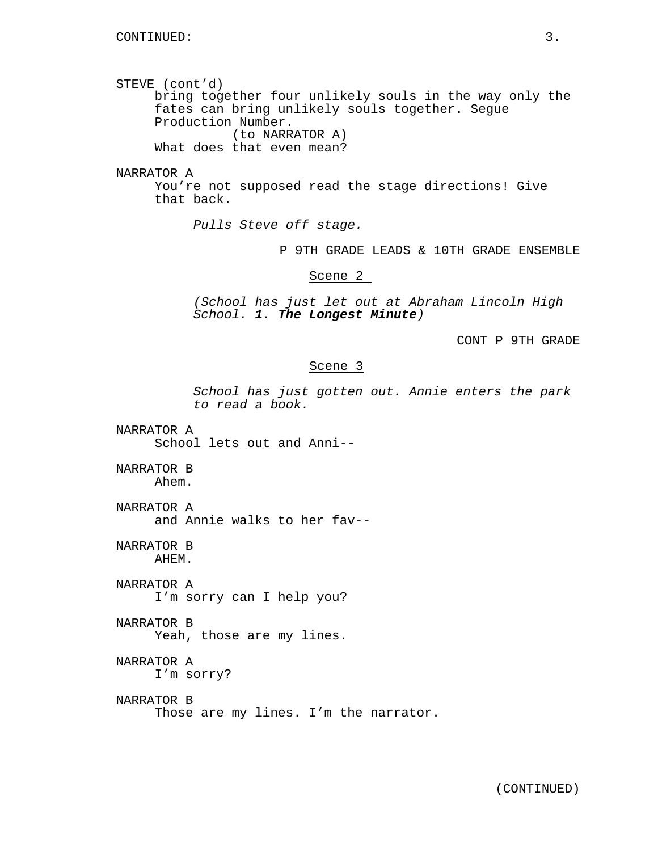STEVE (cont'd) bring together four unlikely souls in the way only the fates can bring unlikely souls together. Segue Production Number. (to NARRATOR A) What does that even mean?

#### NARRATOR A

You're not supposed read the stage directions! Give that back.

*Pulls Steve off stage.*

P 9TH GRADE LEADS & 10TH GRADE ENSEMBLE

### Scene 2

*(School has just let out at Abraham Lincoln High School. 1. The Longest Minute)*

CONT P 9TH GRADE

## Scene 3

*School has just gotten out. Annie enters the park to read a book.*

NARRATOR A School lets out and Anni--

NARRATOR B Ahem.

NARRATOR A and Annie walks to her fav--

NARRATOR B AHEM.

NARRATOR A I'm sorry can I help you?

NARRATOR B

Yeah, those are my lines.

NARRATOR A I'm sorry?

NARRATOR B

Those are my lines. I'm the narrator.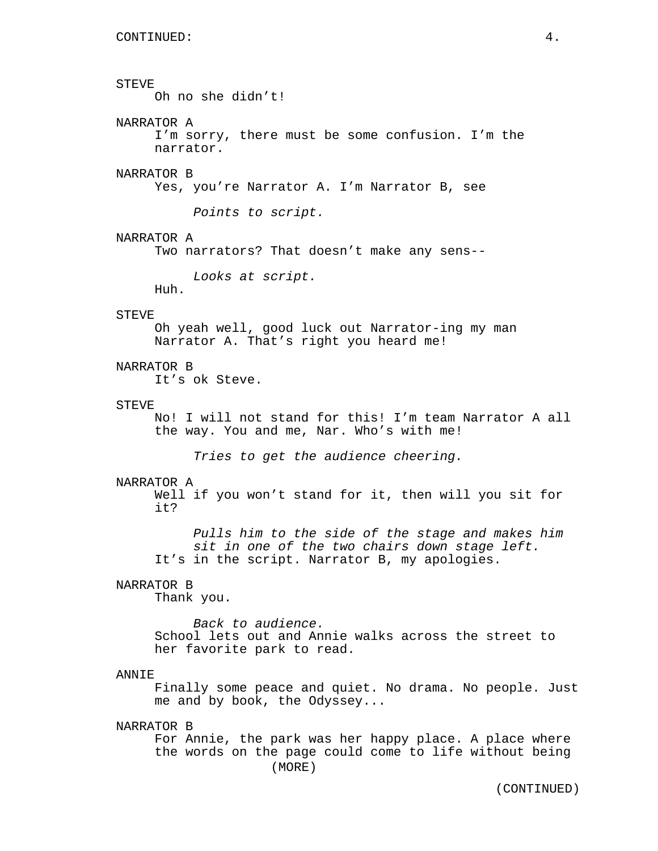## **STEVE**

Oh no she didn't!

## NARRATOR A

I'm sorry, there must be some confusion. I'm the narrator.

## NARRATOR B

Yes, you're Narrator A. I'm Narrator B, see

*Points to script.*

## NARRATOR A

Two narrators? That doesn't make any sens--

*Looks at script.*

Huh.

### STEVE

Oh yeah well, good luck out Narrator-ing my man Narrator A. That's right you heard me!

## NARRATOR B

It's ok Steve.

#### STEVE

No! I will not stand for this! I'm team Narrator A all the way. You and me, Nar. Who's with me!

*Tries to get the audience cheering.*

#### NARRATOR A

Well if you won't stand for it, then will you sit for it?

*Pulls him to the side of the stage and makes him sit in one of the two chairs down stage left.* It's in the script. Narrator B, my apologies.

## NARRATOR B

Thank you.

*Back to audience.* School lets out and Annie walks across the street to her favorite park to read.

#### ANNIE

Finally some peace and quiet. No drama. No people. Just me and by book, the Odyssey...

### NARRATOR B

For Annie, the park was her happy place. A place where the words on the page could come to life without being (MORE)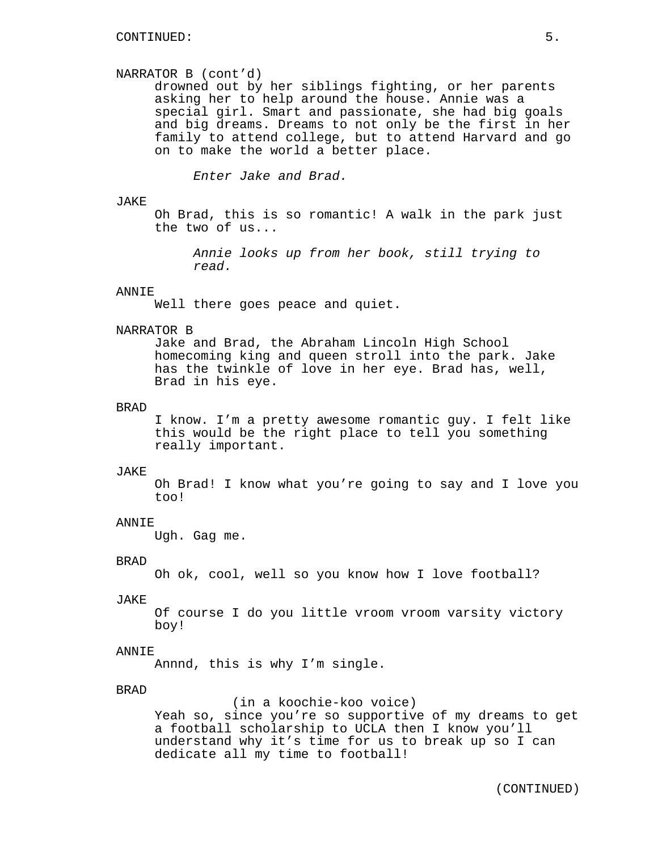### NARRATOR B (cont'd)

drowned out by her siblings fighting, or her parents asking her to help around the house. Annie was a special girl. Smart and passionate, she had big goals and big dreams. Dreams to not only be the first in her family to attend college, but to attend Harvard and go on to make the world a better place.

*Enter Jake and Brad.*

### JAKE

Oh Brad, this is so romantic! A walk in the park just the two of us...

*Annie looks up from her book, still trying to read.*

#### **ANNTE**

Well there goes peace and quiet.

## NARRATOR B

Jake and Brad, the Abraham Lincoln High School homecoming king and queen stroll into the park. Jake has the twinkle of love in her eye. Brad has, well, Brad in his eye.

## BRAD

I know. I'm a pretty awesome romantic guy. I felt like this would be the right place to tell you something really important.

#### JAKE

Oh Brad! I know what you're going to say and I love you too!

#### ANNIE

Ugh. Gag me.

#### BRAD

Oh ok, cool, well so you know how I love football?

### JAKE

Of course I do you little vroom vroom varsity victory boy!

#### ANNIE

Annnd, this is why I'm single.

## BRAD

(in a koochie-koo voice) Yeah so, since you're so supportive of my dreams to get a football scholarship to UCLA then I know you'll understand why it's time for us to break up so I can dedicate all my time to football!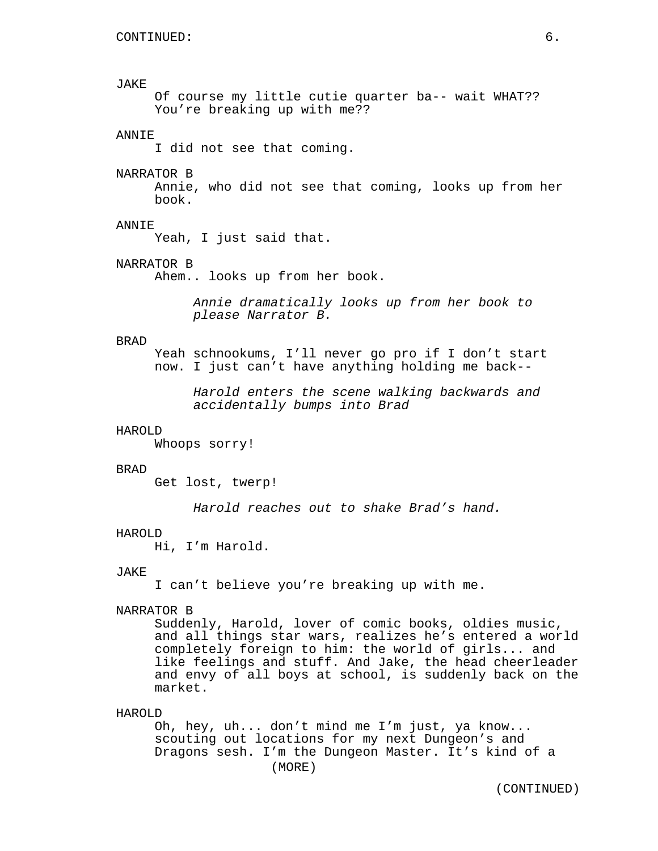### JAKE

Of course my little cutie quarter ba-- wait WHAT?? You're breaking up with me??

### ANNIE

I did not see that coming.

## NARRATOR B

Annie, who did not see that coming, looks up from her book.

### ANNIE

Yeah, I just said that.

#### NARRATOR B

Ahem.. looks up from her book.

*Annie dramatically looks up from her book to please Narrator B.*

### BRAD

Yeah schnookums, I'll never go pro if I don't start now. I just can't have anything holding me back--

*Harold enters the scene walking backwards and accidentally bumps into Brad*

## HAROLD

Whoops sorry!

#### BRAD

Get lost, twerp!

*Harold reaches out to shake Brad's hand.*

### HAROLD

Hi, I'm Harold.

#### JAKE

I can't believe you're breaking up with me.

### NARRATOR B

Suddenly, Harold, lover of comic books, oldies music, and all things star wars, realizes he's entered a world completely foreign to him: the world of girls... and like feelings and stuff. And Jake, the head cheerleader and envy of all boys at school, is suddenly back on the market.

#### HAROLD

Oh, hey, uh... don't mind me I'm just, ya know... scouting out locations for my next Dungeon's and Dragons sesh. I'm the Dungeon Master. It's kind of a (MORE)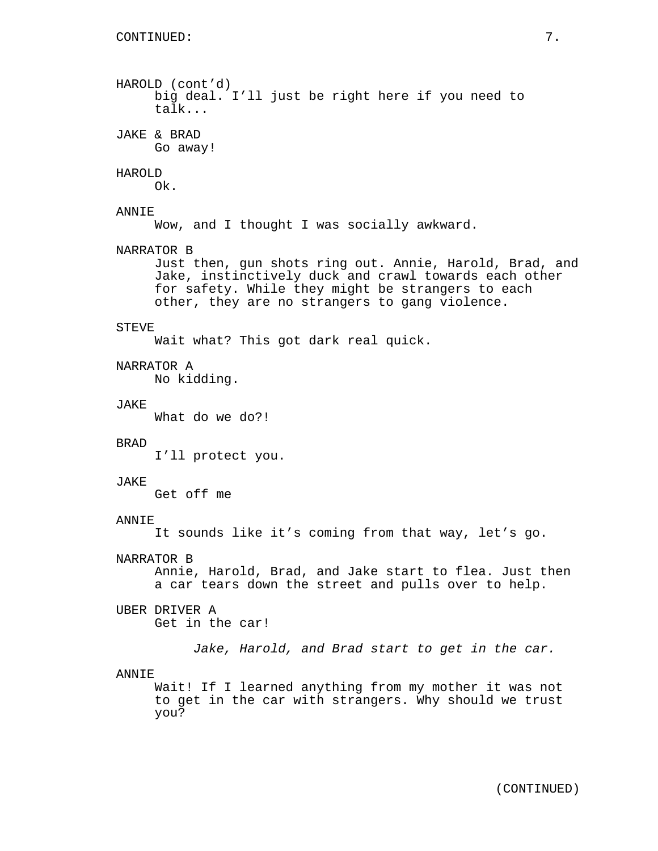HAROLD (cont'd) big deal. I'll just be right here if you need to talk... JAKE & BRAD Go away! HAROLD Ok. ANNIE Wow, and I thought I was socially awkward. NARRATOR B Just then, gun shots ring out. Annie, Harold, Brad, and Jake, instinctively duck and crawl towards each other for safety. While they might be strangers to each other, they are no strangers to gang violence. STEVE Wait what? This got dark real quick. NARRATOR A No kidding. JAKE What do we do?! BRAD I'll protect you. JAKE Get off me ANNIE It sounds like it's coming from that way, let's go. NARRATOR B Annie, Harold, Brad, and Jake start to flea. Just then a car tears down the street and pulls over to help. UBER DRIVER A Get in the car! *Jake, Harold, and Brad start to get in the car.* ANNIE Wait! If I learned anything from my mother it was not to get in the car with strangers. Why should we trust you?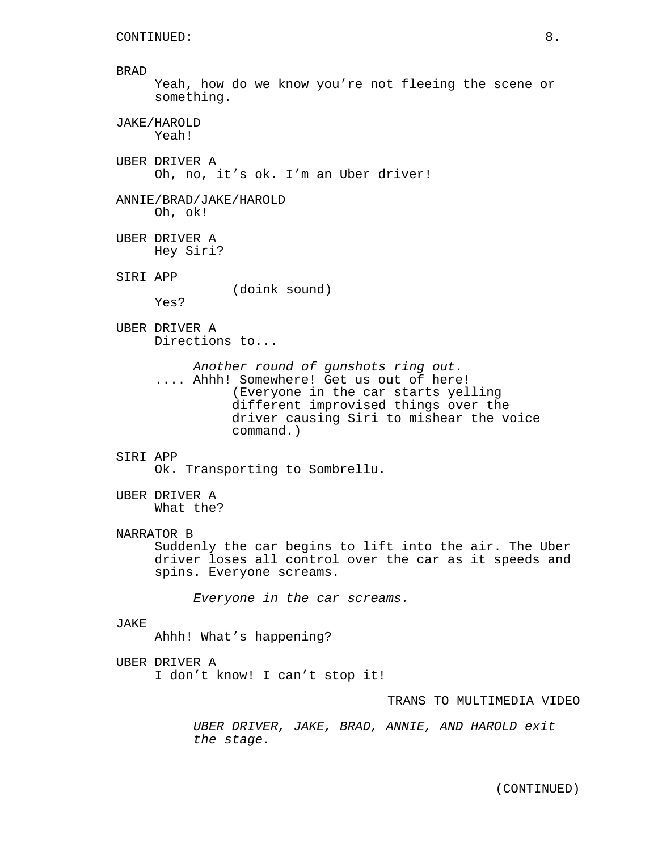#### BRAD

Yeah, how do we know you're not fleeing the scene or something.

### JAKE/HAROLD Yeah!

UBER DRIVER A Oh, no, it's ok. I'm an Uber driver!

# ANNIE/BRAD/JAKE/HAROLD Oh, ok!

UBER DRIVER A Hey Siri?

## SIRI APP

(doink sound)

Yes?

## UBER DRIVER A Directions to...

*Another round of gunshots ring out.* .... Ahhh! Somewhere! Get us out of here! (Everyone in the car starts yelling different improvised things over the driver causing Siri to mishear the voice command.)

## SIRI APP Ok. Transporting to Sombrellu.

## UBER DRIVER A What the?

### NARRATOR B

Suddenly the car begins to lift into the air. The Uber driver loses all control over the car as it speeds and spins. Everyone screams.

*Everyone in the car screams.*

### JAKE

Ahhh! What's happening?

UBER DRIVER A

I don't know! I can't stop it!

### TRANS TO MULTIMEDIA VIDEO

*UBER DRIVER, JAKE, BRAD, ANNIE, AND HAROLD exit the stage.*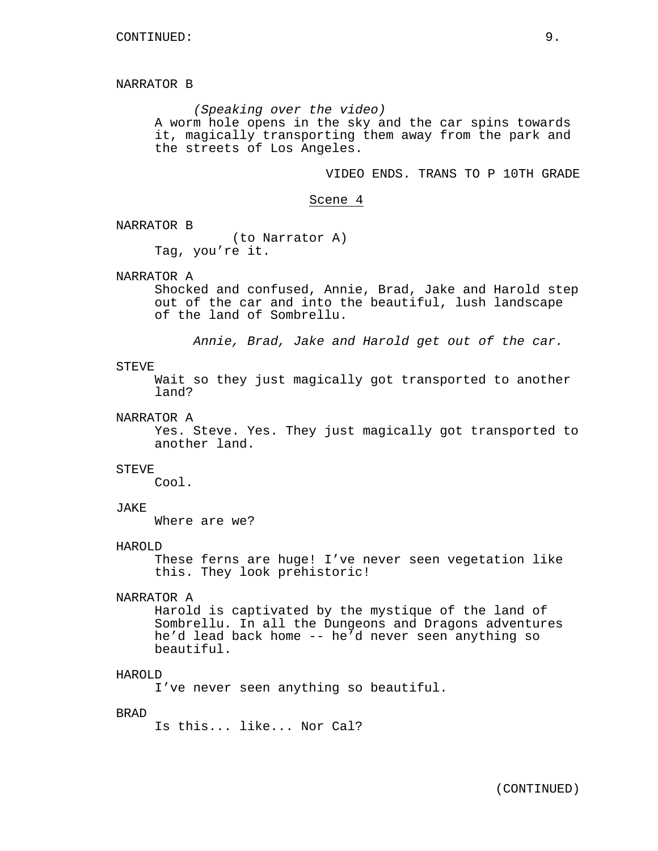# NARRATOR B

*(Speaking over the video)* A worm hole opens in the sky and the car spins towards it, magically transporting them away from the park and the streets of Los Angeles.

VIDEO ENDS. TRANS TO P 10TH GRADE

#### Scene 4

NARRATOR B

(to Narrator A) Tag, you're it.

## NARRATOR A

Shocked and confused, Annie, Brad, Jake and Harold step out of the car and into the beautiful, lush landscape of the land of Sombrellu.

*Annie, Brad, Jake and Harold get out of the car.*

### **STEVE**

Wait so they just magically got transported to another land?

#### NARRATOR A

Yes. Steve. Yes. They just magically got transported to another land.

#### STEVE

Cool.

### JAKE

Where are we?

#### HAROLD

These ferns are huge! I've never seen vegetation like this. They look prehistoric!

### NARRATOR A

Harold is captivated by the mystique of the land of Sombrellu. In all the Dungeons and Dragons adventures he'd lead back home -- he'd never seen anything so beautiful.

#### HAROLD

I've never seen anything so beautiful.

#### BRAD

Is this... like... Nor Cal?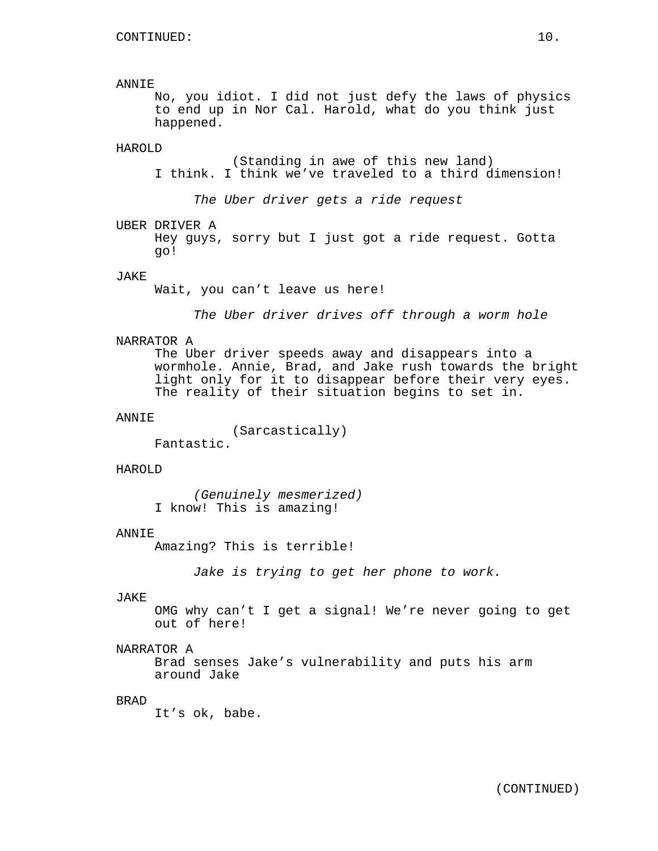## ANNIE

No, you idiot. I did not just defy the laws of physics to end up in Nor Cal. Harold, what do you think just happened.

## HAROLD

(Standing in awe of this new land) I think. I think we've traveled to a third dimension!

*The Uber driver gets a ride request*

UBER DRIVER A

Hey guys, sorry but I just got a ride request. Gotta go!

## JAKE

Wait, you can't leave us here!

*The Uber driver drives off through a worm hole*

#### NARRATOR A

The Uber driver speeds away and disappears into a wormhole. Annie, Brad, and Jake rush towards the bright light only for it to disappear before their very eyes. The reality of their situation begins to set in.

### ANNIE

(Sarcastically)

Fantastic.

## HAROLD

*(Genuinely mesmerized)* I know! This is amazing!

### ANNIE

Amazing? This is terrible!

*Jake is trying to get her phone to work.*

## JAKE

OMG why can't I get a signal! We're never going to get out of here!

## NARRATOR A

Brad senses Jake's vulnerability and puts his arm around Jake

### BRAD

It's ok, babe.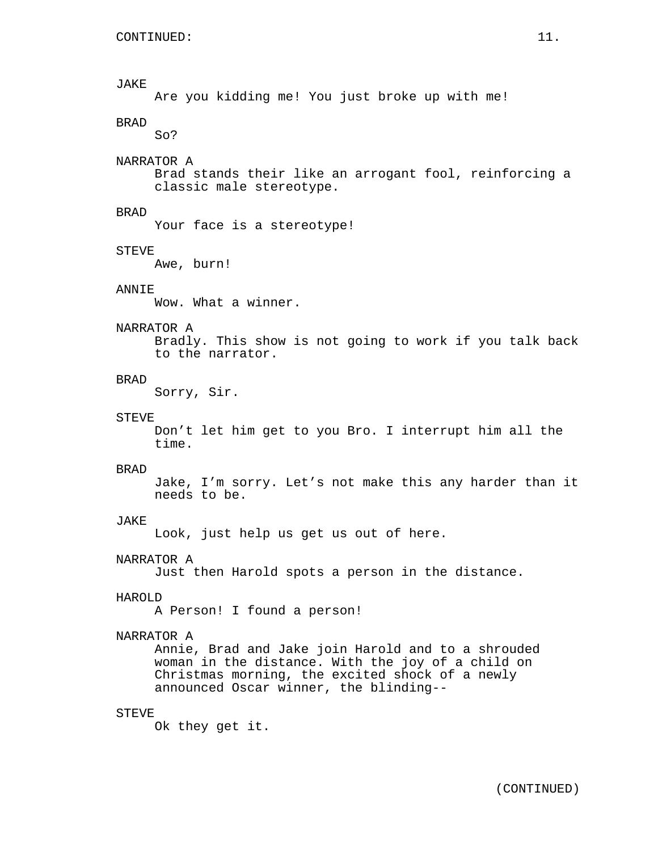### JAKE

Are you kidding me! You just broke up with me!

# BRAD

So?

## NARRATOR A

Brad stands their like an arrogant fool, reinforcing a classic male stereotype.

## BRAD

Your face is a stereotype!

#### STEVE

Awe, burn!

## ANNIE

Wow. What a winner.

## NARRATOR A

Bradly. This show is not going to work if you talk back to the narrator.

### BRAD

Sorry, Sir.

#### STEVE

Don't let him get to you Bro. I interrupt him all the time.

#### BRAD

Jake, I'm sorry. Let's not make this any harder than it needs to be.

### JAKE

Look, just help us get us out of here.

## NARRATOR A

Just then Harold spots a person in the distance.

### HAROLD

A Person! I found a person!

### NARRATOR A

Annie, Brad and Jake join Harold and to a shrouded woman in the distance. With the joy of a child on Christmas morning, the excited shock of a newly announced Oscar winner, the blinding--

### STEVE

Ok they get it.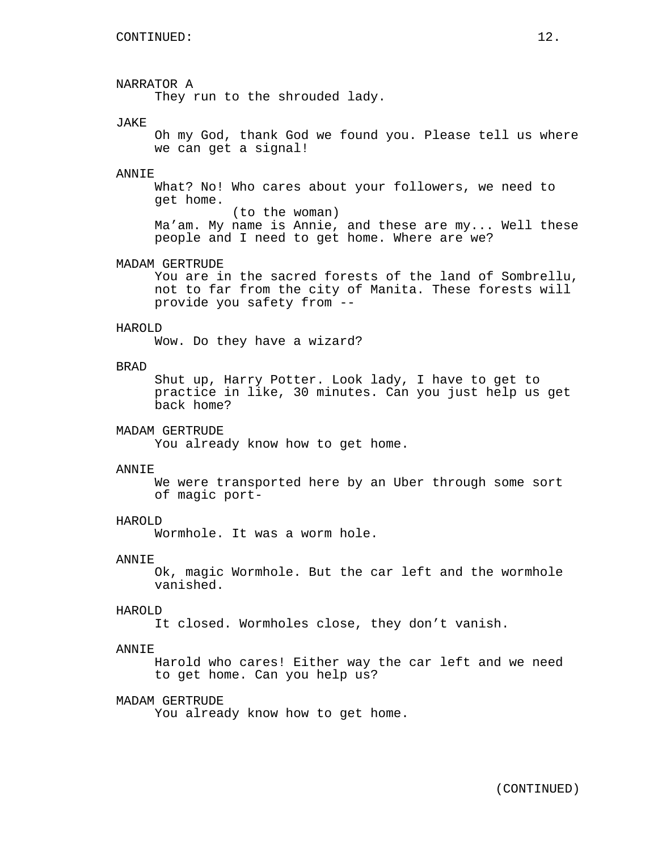## NARRATOR A

They run to the shrouded lady.

## **JAKE**

Oh my God, thank God we found you. Please tell us where we can get a signal!

#### ANNIE

What? No! Who cares about your followers, we need to get home. (to the woman)

Ma'am. My name is Annie, and these are my... Well these people and I need to get home. Where are we?

## MADAM GERTRUDE

You are in the sacred forests of the land of Sombrellu, not to far from the city of Manita. These forests will provide you safety from --

### HAROLD

Wow. Do they have a wizard?

## BRAD

Shut up, Harry Potter. Look lady, I have to get to practice in like, 30 minutes. Can you just help us get back home?

#### MADAM GERTRUDE

You already know how to get home.

#### ANNIE

We were transported here by an Uber through some sort of magic port-

#### HAROLD

Wormhole. It was a worm hole.

#### ANNIE

Ok, magic Wormhole. But the car left and the wormhole vanished.

#### HAROLD

It closed. Wormholes close, they don't vanish.

### ANNIE

Harold who cares! Either way the car left and we need to get home. Can you help us?

### MADAM GERTRUDE

You already know how to get home.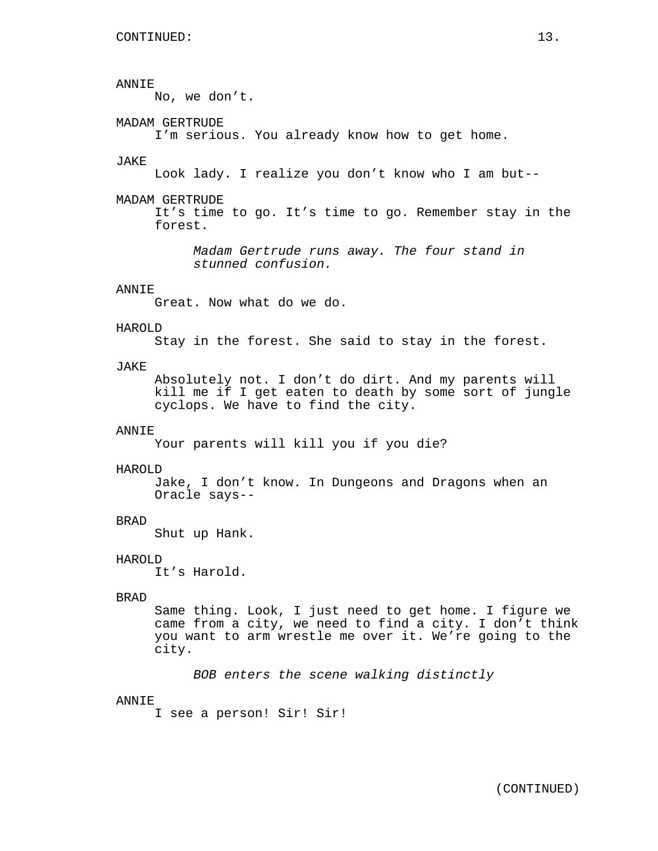## ANNIE

No, we don't.

### MADAM GERTRUDE

I'm serious. You already know how to get home.

#### JAKE

Look lady. I realize you don't know who I am but--

#### MADAM GERTRUDE

It's time to go. It's time to go. Remember stay in the forest.

*Madam Gertrude runs away. The four stand in stunned confusion.*

## ANNIE

Great. Now what do we do.

### HAROLD

Stay in the forest. She said to stay in the forest.

## **JAKE**

Absolutely not. I don't do dirt. And my parents will kill me if I get eaten to death by some sort of jungle cyclops. We have to find the city.

### ANNIE

Your parents will kill you if you die?

#### HAROLD

Jake, I don't know. In Dungeons and Dragons when an Oracle says--

## BRAD

Shut up Hank.

### HAROLD

It's Harold.

### BRAD

Same thing. Look, I just need to get home. I figure we came from a city, we need to find a city. I don't think you want to arm wrestle me over it. We're going to the city.

*BOB enters the scene walking distinctly*

#### ANNIE

I see a person! Sir! Sir!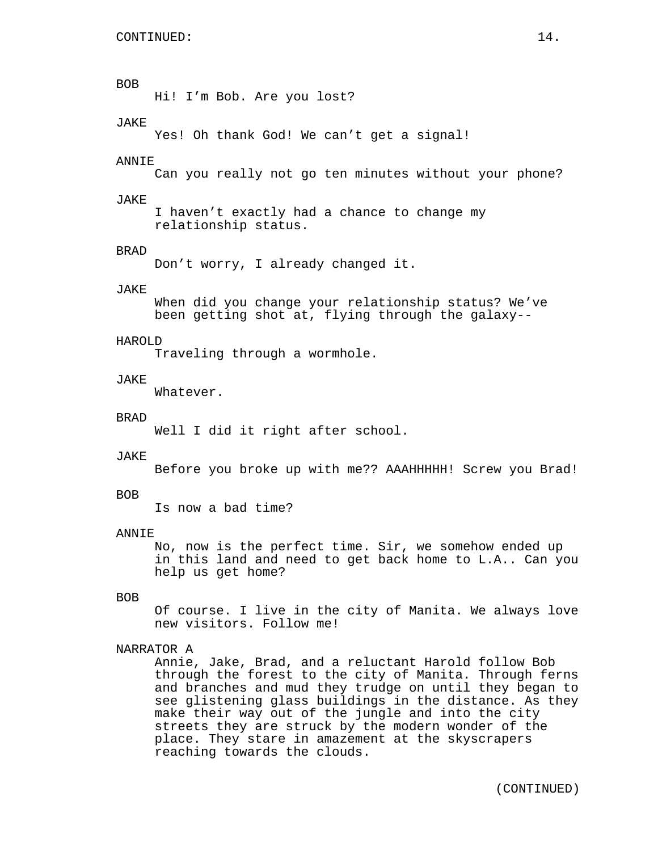## BOB

Hi! I'm Bob. Are you lost?

## JAKE

Yes! Oh thank God! We can't get a signal!

#### ANNIE

Can you really not go ten minutes without your phone?

## JAKE

I haven't exactly had a chance to change my relationship status.

#### BRAD

Don't worry, I already changed it.

#### JAKE

When did you change your relationship status? We've been getting shot at, flying through the galaxy--

### HAROLD

Traveling through a wormhole.

#### JAKE

Whatever.

### BRAD

Well I did it right after school.

#### JAKE

Before you broke up with me?? AAAHHHHH! Screw you Brad!

#### BOB

Is now a bad time?

#### ANNIE

No, now is the perfect time. Sir, we somehow ended up in this land and need to get back home to L.A.. Can you help us get home?

## BOB

Of course. I live in the city of Manita. We always love new visitors. Follow me!

## NARRATOR A

Annie, Jake, Brad, and a reluctant Harold follow Bob through the forest to the city of Manita. Through ferns and branches and mud they trudge on until they began to see glistening glass buildings in the distance. As they make their way out of the jungle and into the city streets they are struck by the modern wonder of the place. They stare in amazement at the skyscrapers reaching towards the clouds.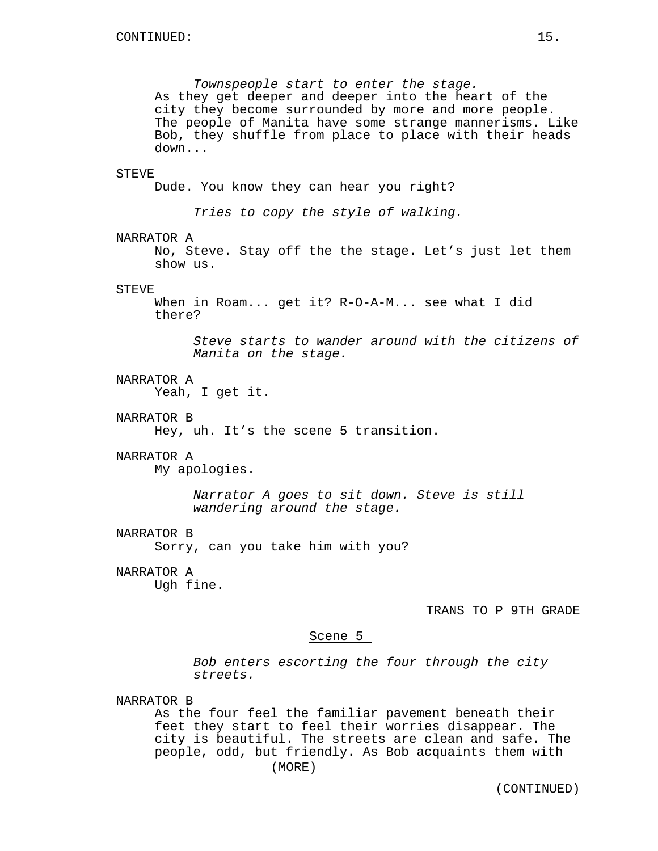*Townspeople start to enter the stage.* As they get deeper and deeper into the heart of the city they become surrounded by more and more people. The people of Manita have some strange mannerisms. Like Bob, they shuffle from place to place with their heads down...

#### STEVE

Dude. You know they can hear you right?

*Tries to copy the style of walking.*

### NARRATOR A

No, Steve. Stay off the the stage. Let's just let them show us.

## **STEVE**

When in Roam... get it? R-O-A-M... see what I did there?

*Steve starts to wander around with the citizens of Manita on the stage.*

## NARRATOR A

Yeah, I get it.

### NARRATOR B

Hey, uh. It's the scene 5 transition.

#### NARRATOR A

My apologies.

*Narrator A goes to sit down. Steve is still wandering around the stage.*

#### NARRATOR B

Sorry, can you take him with you?

## NARRATOR A

Ugh fine.

## TRANS TO P 9TH GRADE

## Scene 5

*Bob enters escorting the four through the city streets.*

NARRATOR B

As the four feel the familiar pavement beneath their feet they start to feel their worries disappear. The city is beautiful. The streets are clean and safe. The people, odd, but friendly. As Bob acquaints them with (MORE)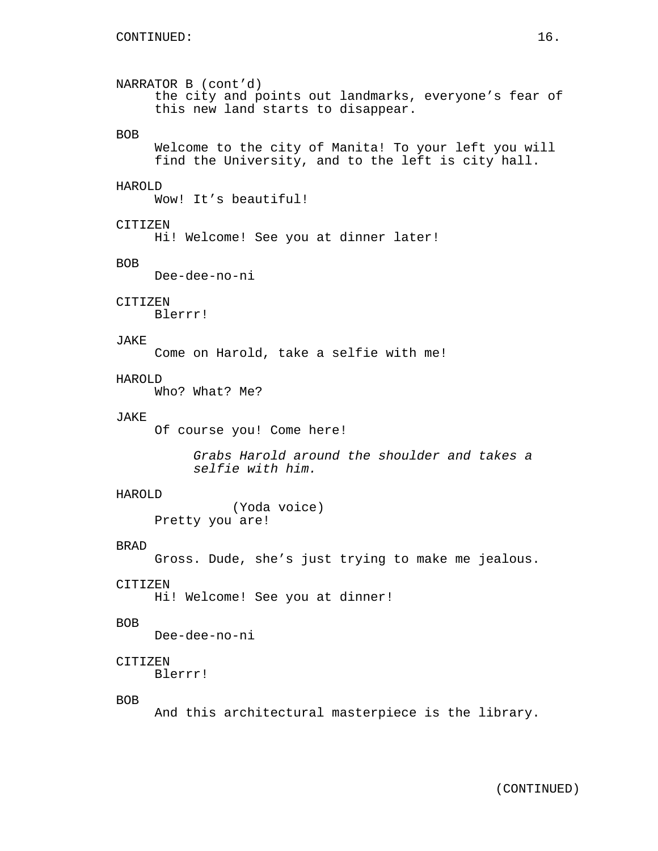NARRATOR B (cont'd) the city and points out landmarks, everyone's fear of this new land starts to disappear. BOB Welcome to the city of Manita! To your left you will find the University, and to the left is city hall. HAROLD Wow! It's beautiful! CITIZEN Hi! Welcome! See you at dinner later! BOB Dee-dee-no-ni CITIZEN Blerrr! JAKE Come on Harold, take a selfie with me! HAROLD Who? What? Me? JAKE Of course you! Come here! *Grabs Harold around the shoulder and takes a selfie with him.* HAROLD (Yoda voice) Pretty you are! BRAD Gross. Dude, she's just trying to make me jealous. CITIZEN Hi! Welcome! See you at dinner! BOB Dee-dee-no-ni CITIZEN Blerrr! BOB And this architectural masterpiece is the library.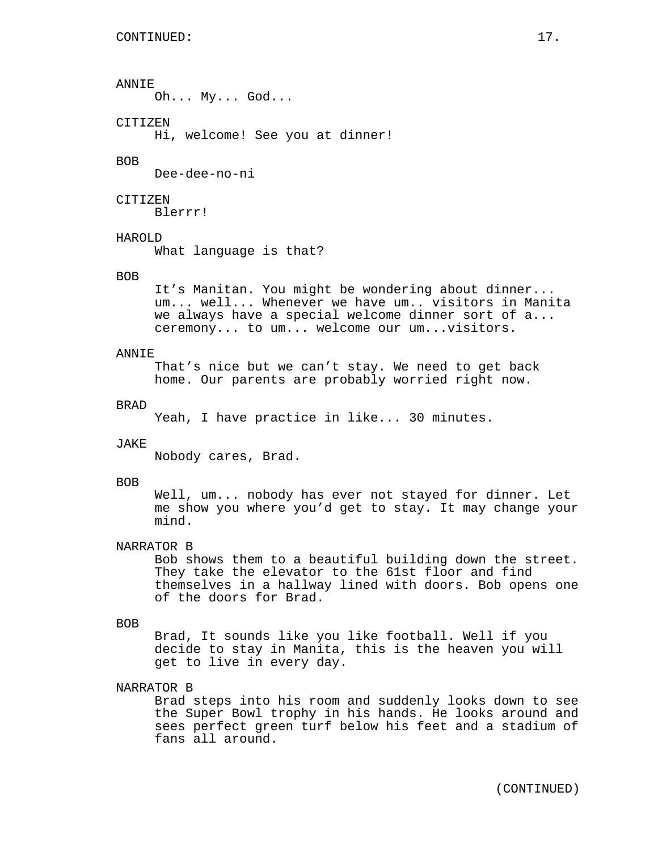### ANNIE

Oh... My... God...

# CITIZEN

Hi, welcome! See you at dinner!

### BOB

Dee-dee-no-ni

### CITIZEN

Blerrr!

## HAROLD

What language is that?

### BOB

It's Manitan. You might be wondering about dinner... um... well... Whenever we have um.. visitors in Manita we always have a special welcome dinner sort of a... ceremony... to um... welcome our um...visitors.

#### ANNIE

That's nice but we can't stay. We need to get back home. Our parents are probably worried right now.

## BRAD

Yeah, I have practice in like... 30 minutes.

#### JAKE

Nobody cares, Brad.

#### BOB

Well, um... nobody has ever not stayed for dinner. Let me show you where you'd get to stay. It may change your mind.

### NARRATOR B

Bob shows them to a beautiful building down the street. They take the elevator to the 61st floor and find themselves in a hallway lined with doors. Bob opens one of the doors for Brad.

#### BOB

Brad, It sounds like you like football. Well if you decide to stay in Manita, this is the heaven you will get to live in every day.

## NARRATOR B

Brad steps into his room and suddenly looks down to see the Super Bowl trophy in his hands. He looks around and sees perfect green turf below his feet and a stadium of fans all around.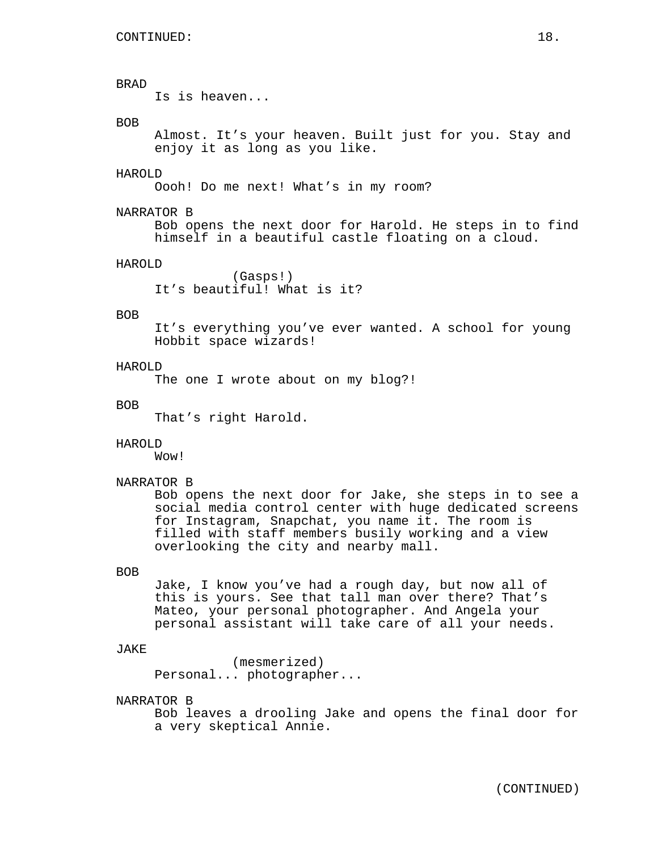## BRAD

Is is heaven...

## BOB

Almost. It's your heaven. Built just for you. Stay and enjoy it as long as you like.

#### HAROLD

Oooh! Do me next! What's in my room?

## NARRATOR B

Bob opens the next door for Harold. He steps in to find himself in a beautiful castle floating on a cloud.

### HAROLD

(Gasps!) It's beautiful! What is it?

#### BOB

It's everything you've ever wanted. A school for young Hobbit space wizards!

## HAROLD

The one I wrote about on my blog?!

#### BOB

That's right Harold.

#### HAROLD

Wow!

#### NARRATOR B

Bob opens the next door for Jake, she steps in to see a social media control center with huge dedicated screens for Instagram, Snapchat, you name it. The room is filled with staff members busily working and a view overlooking the city and nearby mall.

### BOB

Jake, I know you've had a rough day, but now all of this is yours. See that tall man over there? That's Mateo, your personal photographer. And Angela your personal assistant will take care of all your needs.

### JAKE

(mesmerized) Personal... photographer...

### NARRATOR B

Bob leaves a drooling Jake and opens the final door for a very skeptical Annie.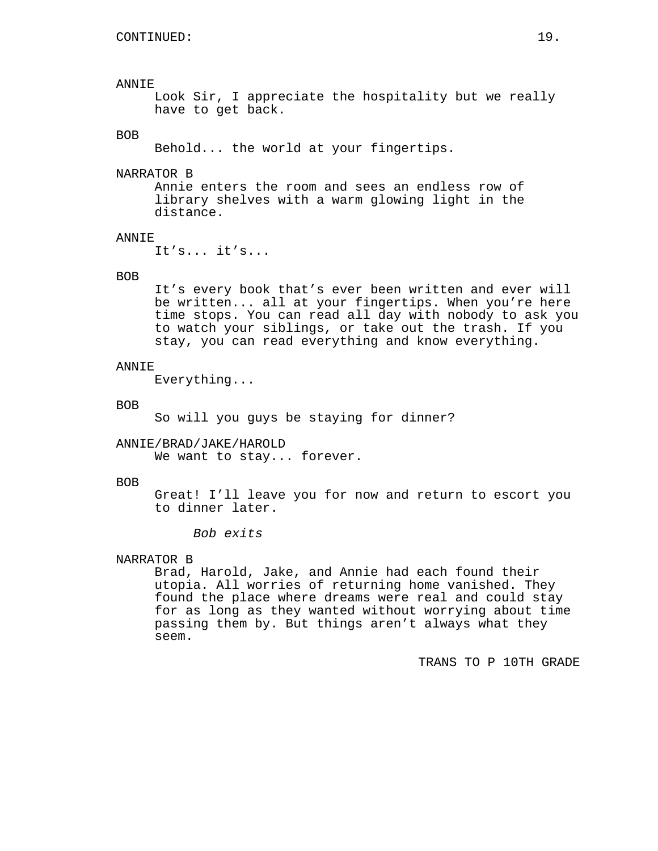#### ANNIE

Look Sir, I appreciate the hospitality but we really have to get back.

## BOB

Behold... the world at your fingertips.

### NARRATOR B

Annie enters the room and sees an endless row of library shelves with a warm glowing light in the distance.

## ANNIE

It's... it's...

### BOB

It's every book that's ever been written and ever will be written... all at your fingertips. When you're here time stops. You can read all day with nobody to ask you to watch your siblings, or take out the trash. If you stay, you can read everything and know everything.

## ANNIE

Everything...

#### BOB

So will you guys be staying for dinner?

## ANNIE/BRAD/JAKE/HAROLD

We want to stay... forever.

#### BOB

Great! I'll leave you for now and return to escort you to dinner later.

*Bob exits*

#### NARRATOR B

Brad, Harold, Jake, and Annie had each found their utopia. All worries of returning home vanished. They found the place where dreams were real and could stay for as long as they wanted without worrying about time passing them by. But things aren't always what they seem.

TRANS TO P 10TH GRADE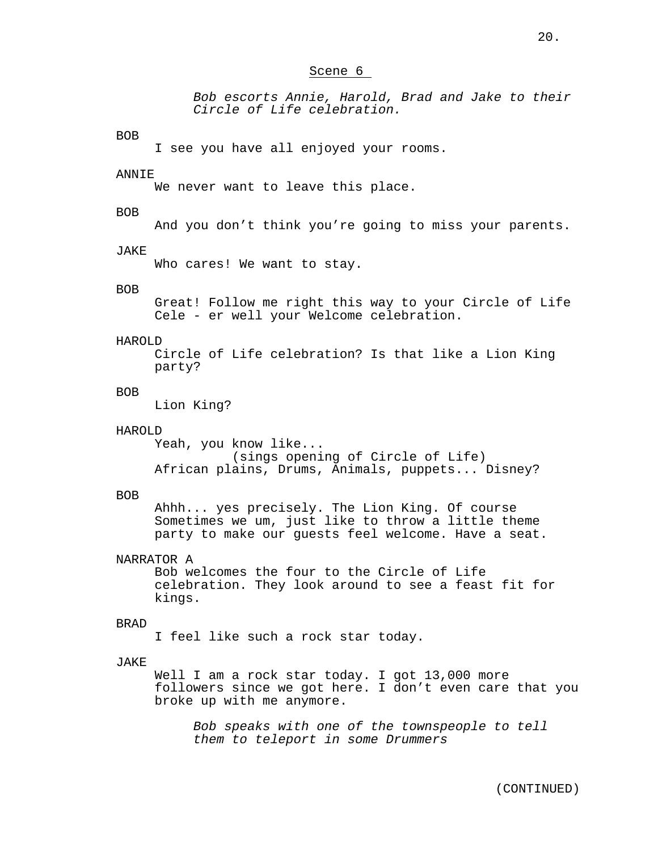## Scene 6

*Bob escorts Annie, Harold, Brad and Jake to their Circle of Life celebration.*

### BOB

I see you have all enjoyed your rooms.

#### ANNIE

We never want to leave this place.

#### BOB

And you don't think you're going to miss your parents.

#### JAKE

Who cares! We want to stay.

#### BOB

Great! Follow me right this way to your Circle of Life Cele - er well your Welcome celebration.

#### HAROLD

Circle of Life celebration? Is that like a Lion King party?

## BOB

Lion King?

### HAROLD

Yeah, you know like... (sings opening of Circle of Life) African plains, Drums, Animals, puppets... Disney?

#### BOB

Ahhh... yes precisely. The Lion King. Of course Sometimes we um, just like to throw a little theme party to make our guests feel welcome. Have a seat.

#### NARRATOR A

Bob welcomes the four to the Circle of Life celebration. They look around to see a feast fit for kings.

#### BRAD

I feel like such a rock star today.

## JAKE

Well I am a rock star today. I got 13,000 more followers since we got here. I don't even care that you broke up with me anymore.

*Bob speaks with one of the townspeople to tell them to teleport in some Drummers*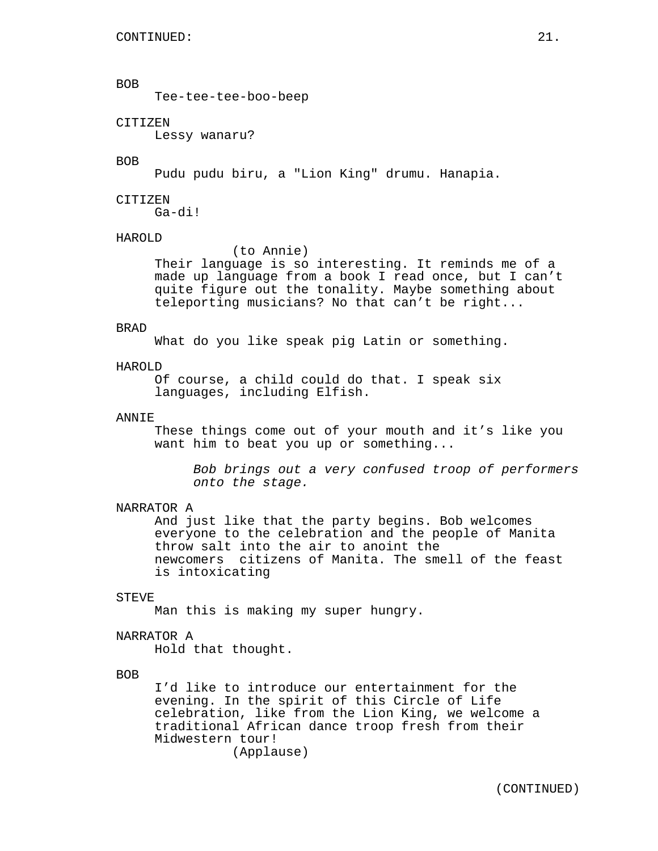## BOB

Tee-tee-tee-boo-beep

## CITIZEN

Lessy wanaru?

### BOB

Pudu pudu biru, a "Lion King" drumu. Hanapia.

### CITIZEN

Ga-di!

## HAROLD

(to Annie)

Their language is so interesting. It reminds me of a made up language from a book I read once, but I can't quite figure out the tonality. Maybe something about teleporting musicians? No that can't be right...

### BRAD

What do you like speak pig Latin or something.

## HAROLD

Of course, a child could do that. I speak six languages, including Elfish.

### ANNIE

These things come out of your mouth and it's like you want him to beat you up or something...

*Bob brings out a very confused troop of performers onto the stage.*

## NARRATOR A

And just like that the party begins. Bob welcomes everyone to the celebration and the people of Manita throw salt into the air to anoint the newcomers citizens of Manita. The smell of the feast is intoxicating

#### STEVE

Man this is making my super hungry.

## NARRATOR A

Hold that thought.

## BOB

I'd like to introduce our entertainment for the evening. In the spirit of this Circle of Life celebration, like from the Lion King, we welcome a traditional African dance troop fresh from their Midwestern tour! (Applause)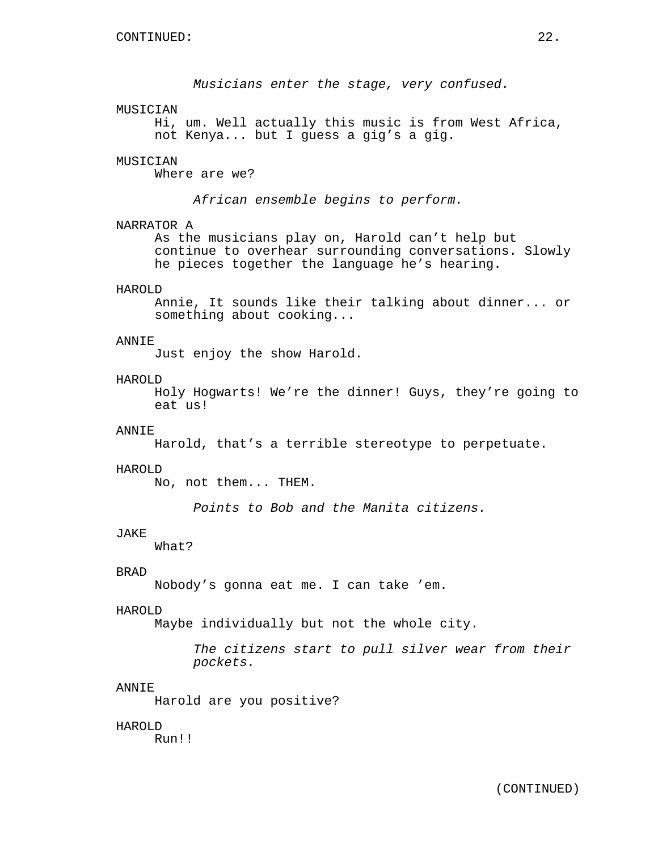*Musicians enter the stage, very confused.*

#### MUSICIAN

Hi, um. Well actually this music is from West Africa, not Kenya... but I guess a gig's a gig.

### MUSICIAN

Where are we?

*African ensemble begins to perform.*

#### NARRATOR A

As the musicians play on, Harold can't help but continue to overhear surrounding conversations. Slowly he pieces together the language he's hearing.

## HAROLD

Annie, It sounds like their talking about dinner... or something about cooking...

#### ANNIE

Just enjoy the show Harold.

#### HAROLD

Holy Hogwarts! We're the dinner! Guys, they're going to eat us!

## ANNIE

Harold, that's a terrible stereotype to perpetuate.

#### HAROLD

No, not them... THEM.

*Points to Bob and the Manita citizens.*

#### JAKE

What?

## BRAD

Nobody's gonna eat me. I can take 'em.

#### HAROLD

Maybe individually but not the whole city.

*The citizens start to pull silver wear from their pockets.*

### ANNIE

Harold are you positive?

#### HAROLD

Run!!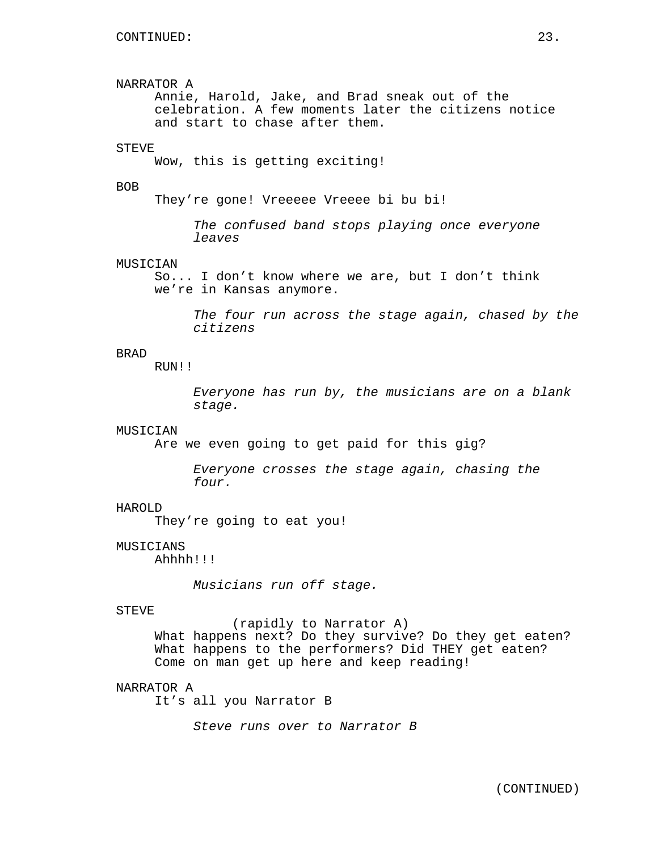# NARRATOR A

Annie, Harold, Jake, and Brad sneak out of the celebration. A few moments later the citizens notice and start to chase after them.

## STEVE

Wow, this is getting exciting!

#### BOB

They're gone! Vreeeee Vreeee bi bu bi!

*The confused band stops playing once everyone leaves*

### MUSICIAN

So... I don't know where we are, but I don't think we're in Kansas anymore.

> *The four run across the stage again, chased by the citizens*

## BRAD

RUN!!

*Everyone has run by, the musicians are on a blank stage.*

## MUSICIAN

Are we even going to get paid for this gig?

*Everyone crosses the stage again, chasing the four.*

### HAROLD

They're going to eat you!

## MUSICIANS

Ahhhh!!!

*Musicians run off stage.*

### STEVE

(rapidly to Narrator A) What happens next? Do they survive? Do they get eaten? What happens to the performers? Did THEY get eaten? Come on man get up here and keep reading!

### NARRATOR A

It's all you Narrator B

*Steve runs over to Narrator B*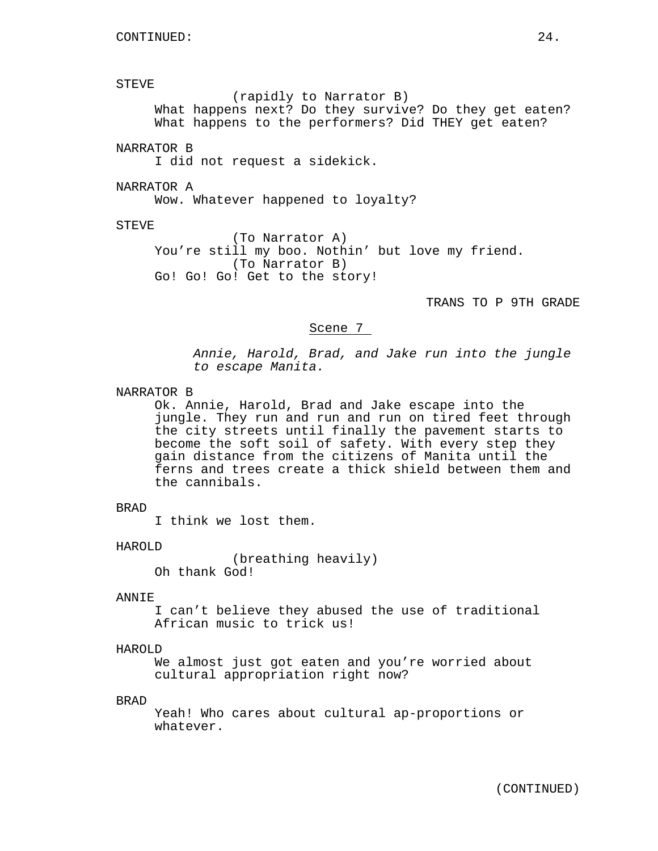STEVE

(rapidly to Narrator B) What happens next? Do they survive? Do they get eaten? What happens to the performers? Did THEY get eaten?

NARRATOR B

I did not request a sidekick.

NARRATOR A

Wow. Whatever happened to loyalty?

STEVE

(To Narrator A) You're still my boo. Nothin' but love my friend. (To Narrator B) Go! Go! Go! Get to the story!

TRANS TO P 9TH GRADE

### Scene 7

*Annie, Harold, Brad, and Jake run into the jungle to escape Manita.*

## NARRATOR B

Ok. Annie, Harold, Brad and Jake escape into the jungle. They run and run and run on tired feet through the city streets until finally the pavement starts to become the soft soil of safety. With every step they gain distance from the citizens of Manita until the ferns and trees create a thick shield between them and the cannibals.

## BRAD

I think we lost them.

#### HAROLD

(breathing heavily) Oh thank God!

## ANNIE

I can't believe they abused the use of traditional African music to trick us!

## HAROLD

We almost just got eaten and you're worried about cultural appropriation right now?

### BRAD

Yeah! Who cares about cultural ap-proportions or whatever.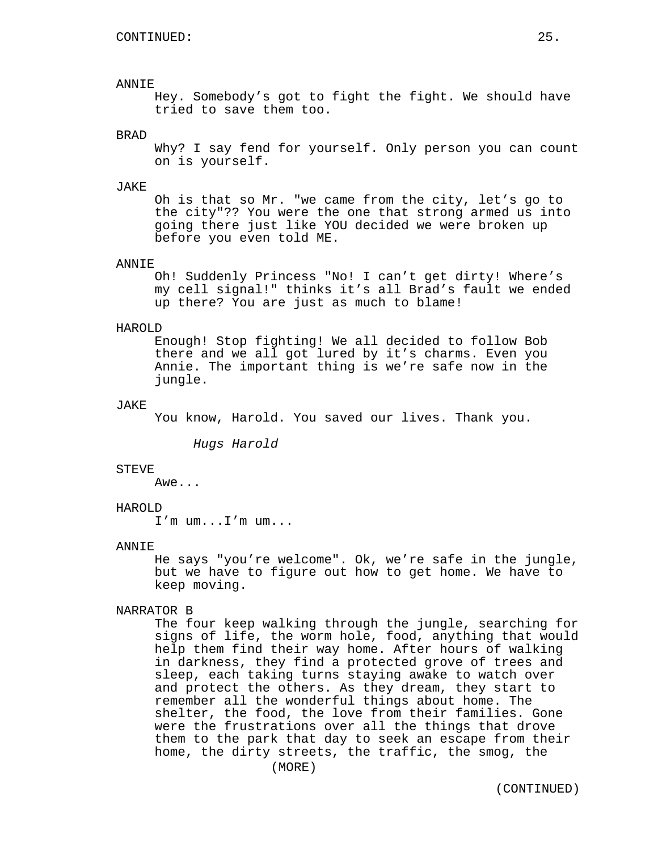#### ANNIE

Hey. Somebody's got to fight the fight. We should have tried to save them too.

### BRAD

Why? I say fend for yourself. Only person you can count on is yourself.

#### JAKE

Oh is that so Mr. "we came from the city, let's go to the city"?? You were the one that strong armed us into going there just like YOU decided we were broken up before you even told ME.

#### ANNIE

Oh! Suddenly Princess "No! I can't get dirty! Where's my cell signal!" thinks it's all Brad's fault we ended up there? You are just as much to blame!

#### HAROLD

Enough! Stop fighting! We all decided to follow Bob there and we all got lured by it's charms. Even you Annie. The important thing is we're safe now in the jungle.

#### JAKE

You know, Harold. You saved our lives. Thank you.

*Hugs Harold*

#### STEVE

Awe...

## HAROLD

I'm um...I'm um...

#### ANNIE

He says "you're welcome". Ok, we're safe in the jungle, but we have to figure out how to get home. We have to keep moving.

### NARRATOR B

The four keep walking through the jungle, searching for signs of life, the worm hole, food, anything that would help them find their way home. After hours of walking in darkness, they find a protected grove of trees and sleep, each taking turns staying awake to watch over and protect the others. As they dream, they start to remember all the wonderful things about home. The shelter, the food, the love from their families. Gone were the frustrations over all the things that drove them to the park that day to seek an escape from their home, the dirty streets, the traffic, the smog, the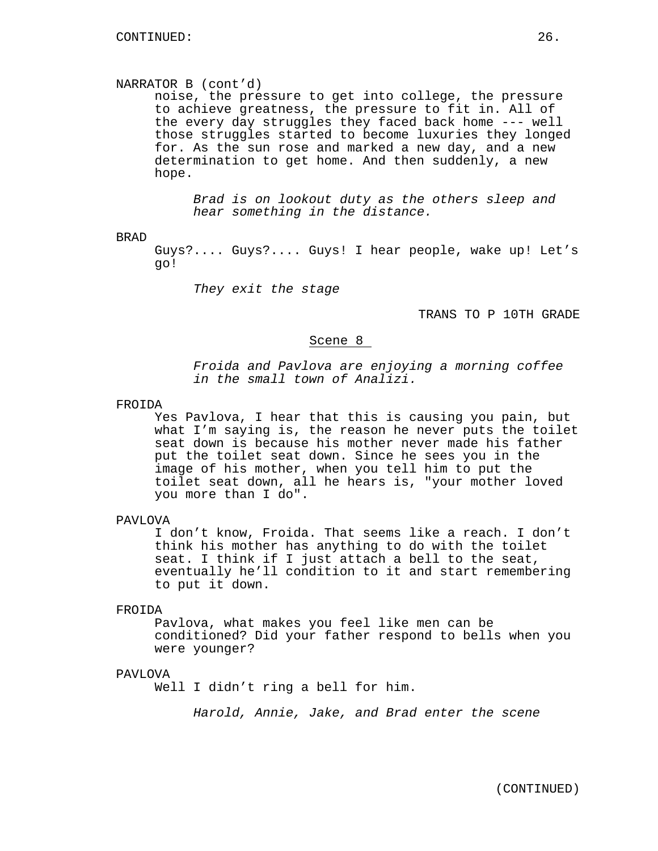## NARRATOR B (cont'd)

noise, the pressure to get into college, the pressure to achieve greatness, the pressure to fit in. All of the every day struggles they faced back home --- well those struggles started to become luxuries they longed for. As the sun rose and marked a new day, and a new determination to get home. And then suddenly, a new hope.

*Brad is on lookout duty as the others sleep and hear something in the distance.*

BRAD

Guys?.... Guys?.... Guys! I hear people, wake up! Let's go!

*They exit the stage*

TRANS TO P 10TH GRADE

### Scene 8

*Froida and Pavlova are enjoying a morning coffee in the small town of Analizi.*

#### FROIDA

Yes Pavlova, I hear that this is causing you pain, but what I'm saying is, the reason he never puts the toilet seat down is because his mother never made his father put the toilet seat down. Since he sees you in the image of his mother, when you tell him to put the toilet seat down, all he hears is, "your mother loved you more than I do".

#### PAVLOVA

I don't know, Froida. That seems like a reach. I don't think his mother has anything to do with the toilet seat. I think if I just attach a bell to the seat, eventually he'll condition to it and start remembering to put it down.

#### FROIDA

Pavlova, what makes you feel like men can be conditioned? Did your father respond to bells when you were younger?

#### PAVLOVA

Well I didn't ring a bell for him.

*Harold, Annie, Jake, and Brad enter the scene*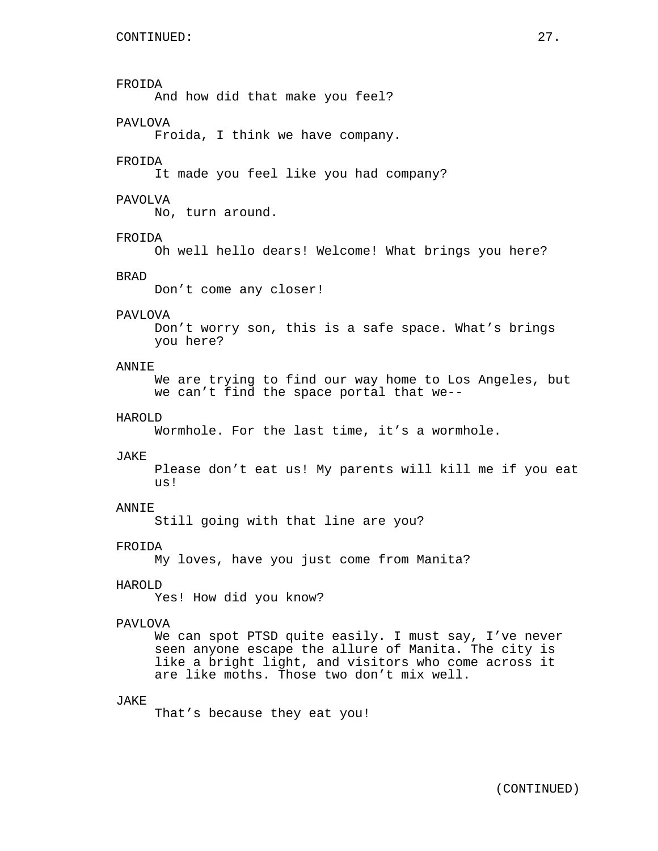FROIDA And how did that make you feel? PAVLOVA Froida, I think we have company. FROIDA It made you feel like you had company? PAVOLVA No, turn around. FROIDA Oh well hello dears! Welcome! What brings you here? BRAD Don't come any closer! PAVLOVA Don't worry son, this is a safe space. What's brings you here? ANNIE We are trying to find our way home to Los Angeles, but we can't find the space portal that we-- HAROLD Wormhole. For the last time, it's a wormhole. JAKE Please don't eat us! My parents will kill me if you eat us! ANNIE Still going with that line are you? FROIDA My loves, have you just come from Manita? HAROLD Yes! How did you know? PAVLOVA

We can spot PTSD quite easily. I must say, I've never seen anyone escape the allure of Manita. The city is like a bright light, and visitors who come across it are like moths. Those two don't mix well.

### JAKE

That's because they eat you!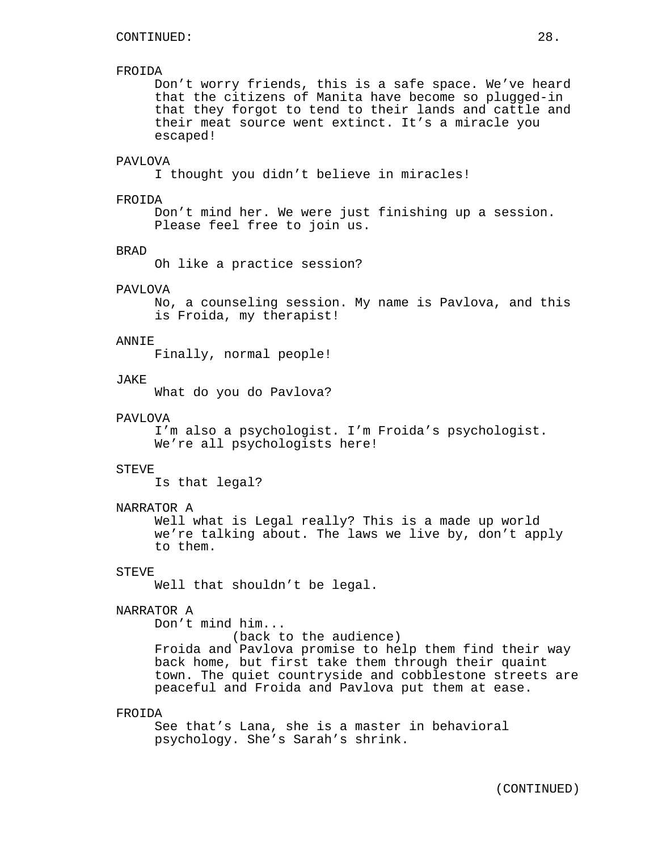### FROIDA

Don't worry friends, this is a safe space. We've heard that the citizens of Manita have become so plugged-in that they forgot to tend to their lands and cattle and their meat source went extinct. It's a miracle you escaped!

### PAVLOVA

I thought you didn't believe in miracles!

#### FROIDA

Don't mind her. We were just finishing up a session. Please feel free to join us.

### BRAD

Oh like a practice session?

#### PAVLOVA

No, a counseling session. My name is Pavlova, and this is Froida, my therapist!

### ANNIE

Finally, normal people!

### JAKE

What do you do Pavlova?

## PAVLOVA

I'm also a psychologist. I'm Froida's psychologist. We're all psychologists here!

#### STEVE

Is that legal?

## NARRATOR A

Well what is Legal really? This is a made up world we're talking about. The laws we live by, don't apply to them.

### STEVE

Well that shouldn't be legal.

## NARRATOR A

Don't mind him...

(back to the audience)

Froida and Pavlova promise to help them find their way back home, but first take them through their quaint town. The quiet countryside and cobblestone streets are peaceful and Froida and Pavlova put them at ease.

#### FROIDA

See that's Lana, she is a master in behavioral psychology. She's Sarah's shrink.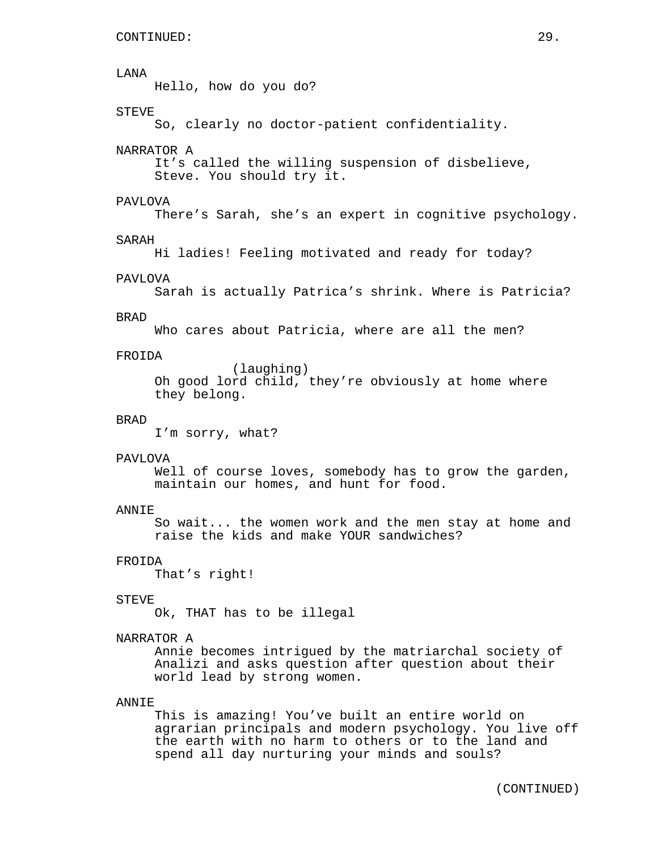#### LANA

Hello, how do you do?

## STEVE

So, clearly no doctor-patient confidentiality.

#### NARRATOR A

It's called the willing suspension of disbelieve, Steve. You should try it.

## PAVLOVA

There's Sarah, she's an expert in cognitive psychology.

### SARAH

Hi ladies! Feeling motivated and ready for today?

## PAVLOVA

Sarah is actually Patrica's shrink. Where is Patricia?

### BRAD

Who cares about Patricia, where are all the men?

#### FROIDA

(laughing)

Oh good lord child, they're obviously at home where they belong.

## BRAD

I'm sorry, what?

#### PAVLOVA

Well of course loves, somebody has to grow the garden, maintain our homes, and hunt for food.

#### ANNIE

So wait... the women work and the men stay at home and raise the kids and make YOUR sandwiches?

## FROIDA

That's right!

#### STEVE

Ok, THAT has to be illegal

## NARRATOR A

Annie becomes intrigued by the matriarchal society of Analizi and asks question after question about their world lead by strong women.

#### ANNIE

This is amazing! You've built an entire world on agrarian principals and modern psychology. You live off the earth with no harm to others or to the land and spend all day nurturing your minds and souls?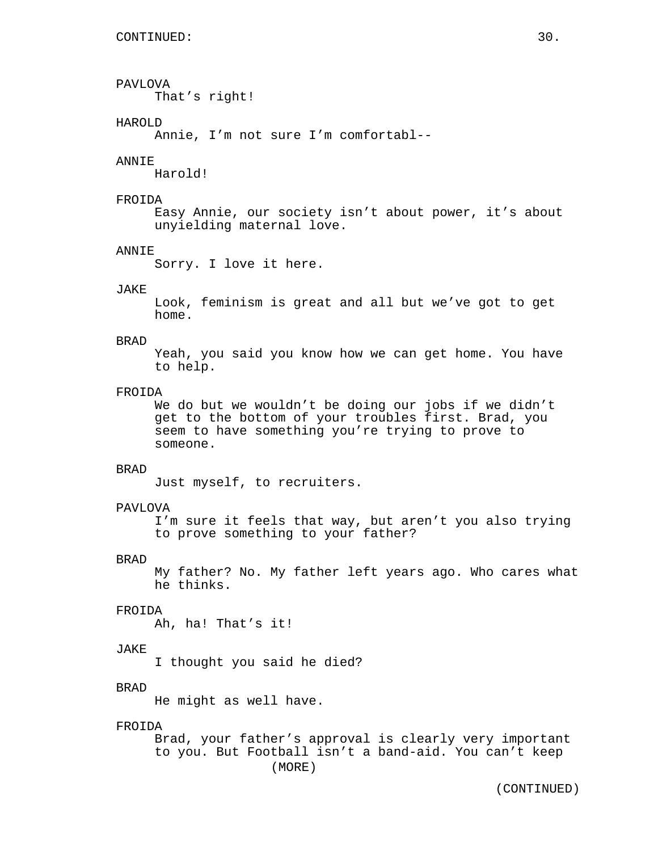## PAVLOVA

That's right!

## HAROLD

Annie, I'm not sure I'm comfortabl--

#### ANNIE

Harold!

## FROIDA

Easy Annie, our society isn't about power, it's about unyielding maternal love.

### ANNIE

Sorry. I love it here.

### JAKE

Look, feminism is great and all but we've got to get home.

### BRAD

Yeah, you said you know how we can get home. You have to help.

## FROIDA

We do but we wouldn't be doing our jobs if we didn't get to the bottom of your troubles first. Brad, you seem to have something you're trying to prove to someone.

## BRAD

Just myself, to recruiters.

### PAVLOVA

I'm sure it feels that way, but aren't you also trying to prove something to your father?

#### BRAD

My father? No. My father left years ago. Who cares what he thinks.

### FROIDA

Ah, ha! That's it!

## JAKE

I thought you said he died?

### BRAD

He might as well have.

#### FROIDA

Brad, your father's approval is clearly very important to you. But Football isn't a band-aid. You can't keep (MORE)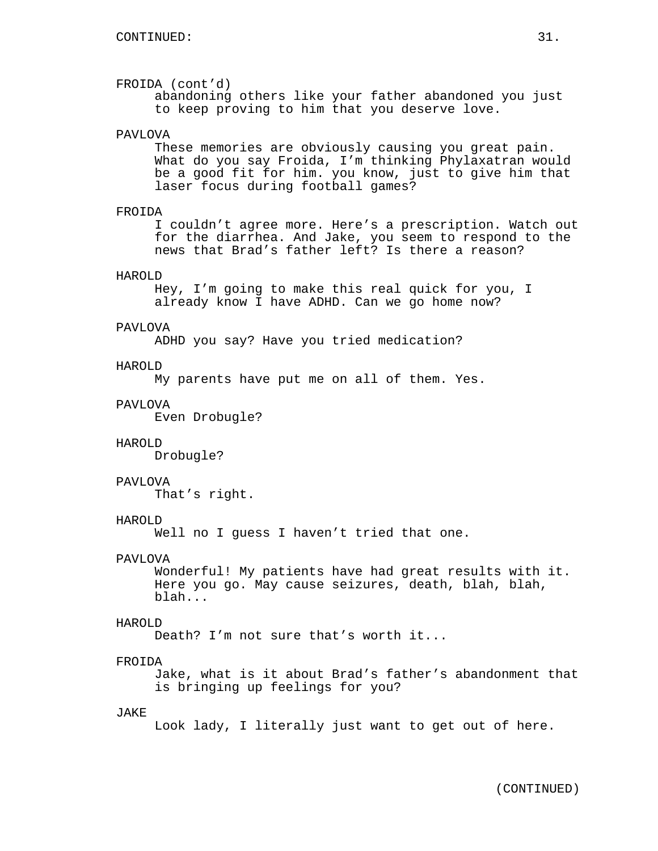## FROIDA (cont'd)

abandoning others like your father abandoned you just to keep proving to him that you deserve love.

### PAVLOVA

These memories are obviously causing you great pain. What do you say Froida, I'm thinking Phylaxatran would be a good fit for him. you know, just to give him that laser focus during football games?

### FROIDA

I couldn't agree more. Here's a prescription. Watch out for the diarrhea. And Jake, you seem to respond to the news that Brad's father left? Is there a reason?

### HAROLD

Hey, I'm going to make this real quick for you, I already know I have ADHD. Can we go home now?

## PAVLOVA

ADHD you say? Have you tried medication?

## HAROLD

My parents have put me on all of them. Yes.

#### PAVLOVA

Even Drobugle?

## HAROLD

Drobugle?

#### PAVLOVA

That's right.

#### HAROLD

Well no I quess I haven't tried that one.

#### PAVLOVA

Wonderful! My patients have had great results with it. Here you go. May cause seizures, death, blah, blah, blah...

### HAROLD

Death? I'm not sure that's worth it...

## FROIDA

Jake, what is it about Brad's father's abandonment that is bringing up feelings for you?

### JAKE

Look lady, I literally just want to get out of here.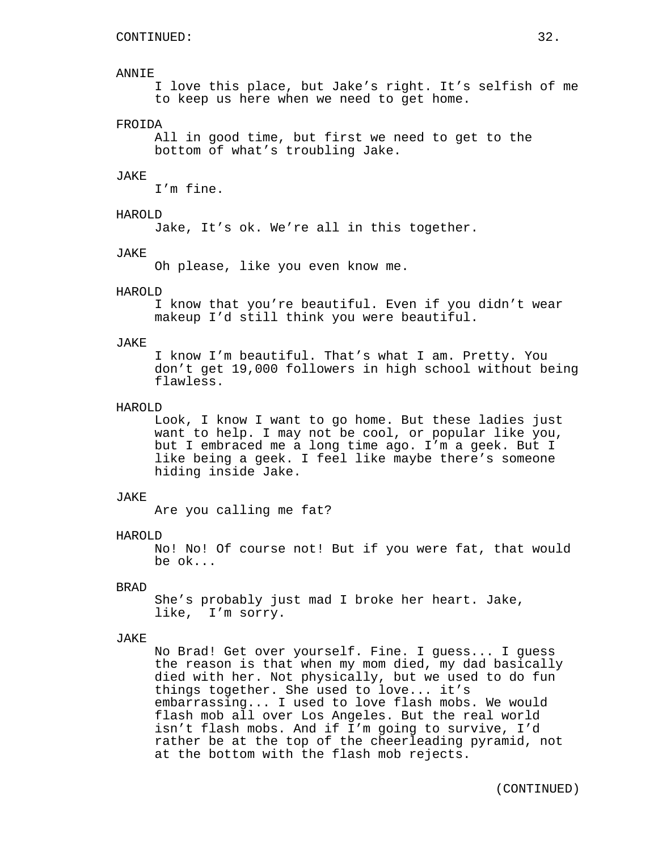#### ANNIE

I love this place, but Jake's right. It's selfish of me to keep us here when we need to get home.

## FROIDA

All in good time, but first we need to get to the bottom of what's troubling Jake.

## JAKE

I'm fine.

#### HAROLD

Jake, It's ok. We're all in this together.

## **JAKE**

Oh please, like you even know me.

#### HAROLD

I know that you're beautiful. Even if you didn't wear makeup I'd still think you were beautiful.

## JAKE

I know I'm beautiful. That's what I am. Pretty. You don't get 19,000 followers in high school without being flawless.

#### HAROLD

Look, I know I want to go home. But these ladies just want to help. I may not be cool, or popular like you, but I embraced me a long time ago. I'm a geek. But I like being a geek. I feel like maybe there's someone hiding inside Jake.

#### JAKE

Are you calling me fat?

#### HAROLD

No! No! Of course not! But if you were fat, that would be ok...

### BRAD

She's probably just mad I broke her heart. Jake, like, I'm sorry.

#### JAKE

No Brad! Get over yourself. Fine. I guess... I guess the reason is that when my mom died, my dad basically died with her. Not physically, but we used to do fun things together. She used to love... it's embarrassing... I used to love flash mobs. We would flash mob all over Los Angeles. But the real world isn't flash mobs. And if I'm going to survive, I'd rather be at the top of the cheerleading pyramid, not at the bottom with the flash mob rejects.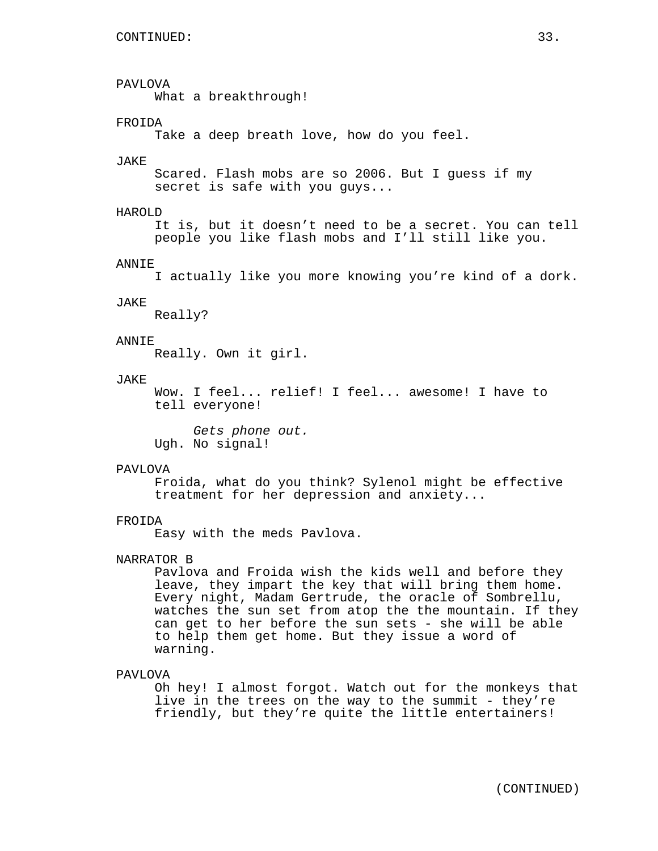PAVLOVA What a breakthrough! FROIDA Take a deep breath love, how do you feel. JAKE Scared. Flash mobs are so 2006. But I guess if my secret is safe with you guys... HAROLD It is, but it doesn't need to be a secret. You can tell people you like flash mobs and I'll still like you. ANNIE I actually like you more knowing you're kind of a dork. JAKE Really? ANNIE Really. Own it girl. JAKE Wow. I feel... relief! I feel... awesome! I have to tell everyone! *Gets phone out.* Ugh. No signal! PAVLOVA Froida, what do you think? Sylenol might be effective treatment for her depression and anxiety... FROIDA Easy with the meds Pavlova. NARRATOR B Pavlova and Froida wish the kids well and before they leave, they impart the key that will bring them home. Every night, Madam Gertrude, the oracle of Sombrellu, watches the sun set from atop the the mountain. If they can get to her before the sun sets - she will be able to help them get home. But they issue a word of

PAVLOVA

warning.

Oh hey! I almost forgot. Watch out for the monkeys that live in the trees on the way to the summit - they're friendly, but they're quite the little entertainers!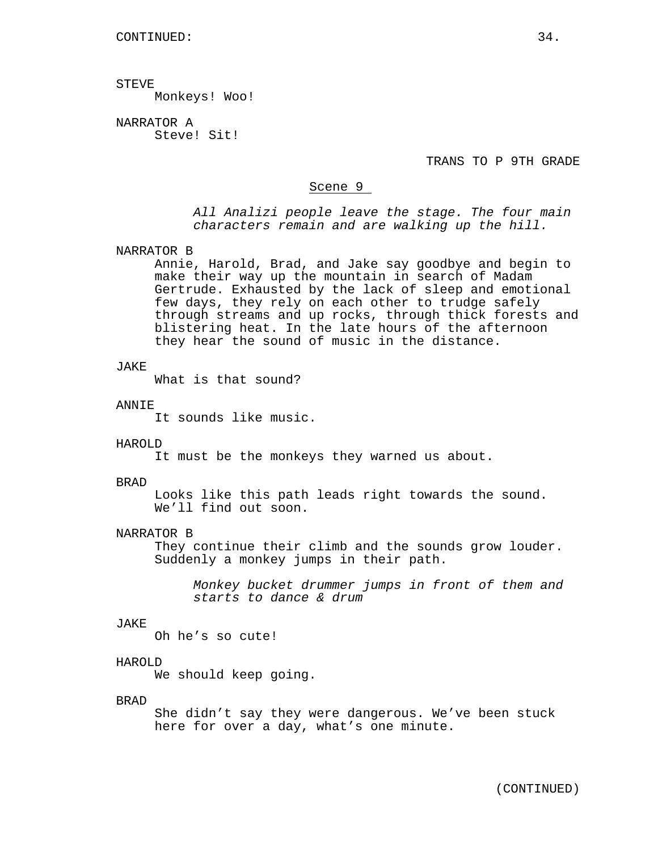### STEVE

Monkeys! Woo!

NARRATOR A Steve! Sit!

#### TRANS TO P 9TH GRADE

#### Scene 9

*All Analizi people leave the stage. The four main characters remain and are walking up the hill.*

#### NARRATOR B

Annie, Harold, Brad, and Jake say goodbye and begin to make their way up the mountain in search of Madam Gertrude. Exhausted by the lack of sleep and emotional few days, they rely on each other to trudge safely through streams and up rocks, through thick forests and blistering heat. In the late hours of the afternoon they hear the sound of music in the distance.

## **JAKE**

What is that sound?

#### ANNIE

It sounds like music.

#### HAROLD

It must be the monkeys they warned us about.

#### BRAD

Looks like this path leads right towards the sound. We'll find out soon.

#### NARRATOR B

They continue their climb and the sounds grow louder. Suddenly a monkey jumps in their path.

*Monkey bucket drummer jumps in front of them and starts to dance & drum*

### JAKE

Oh he's so cute!

## HAROLD

We should keep going.

### BRAD

She didn't say they were dangerous. We've been stuck here for over a day, what's one minute.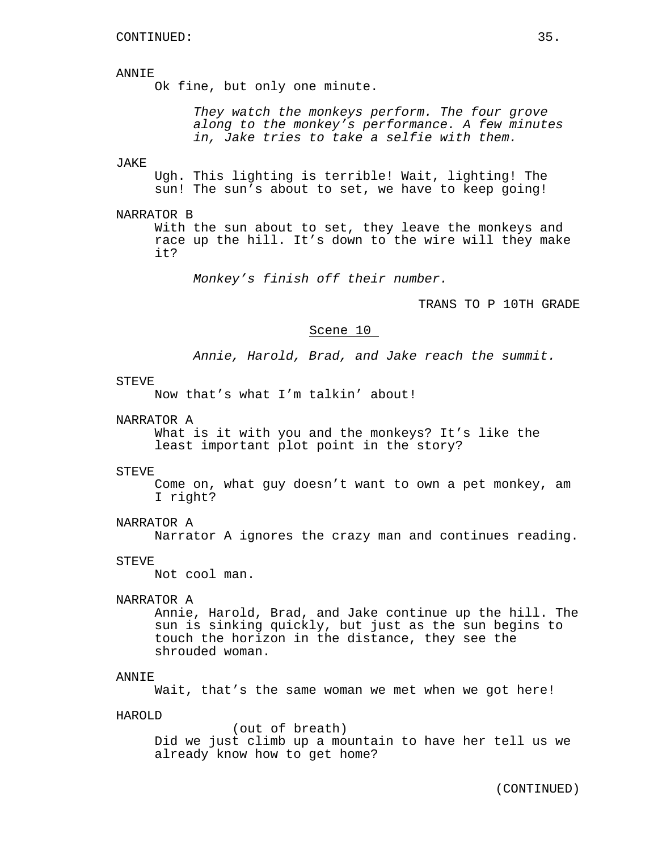#### ANNIE

Ok fine, but only one minute.

*They watch the monkeys perform. The four grove along to the monkey's performance. A few minutes in, Jake tries to take a selfie with them.*

#### JAKE

Ugh. This lighting is terrible! Wait, lighting! The sun! The sun's about to set, we have to keep going!

### NARRATOR B

With the sun about to set, they leave the monkeys and race up the hill. It's down to the wire will they make it?

*Monkey's finish off their number.*

TRANS TO P 10TH GRADE

#### Scene 10

*Annie, Harold, Brad, and Jake reach the summit.*

#### STEVE

Now that's what I'm talkin' about!

### NARRATOR A

What is it with you and the monkeys? It's like the least important plot point in the story?

#### STEVE

Come on, what guy doesn't want to own a pet monkey, am I right?

### NARRATOR A

Narrator A ignores the crazy man and continues reading.

### STEVE

Not cool man.

#### NARRATOR A

Annie, Harold, Brad, and Jake continue up the hill. The sun is sinking quickly, but just as the sun begins to touch the horizon in the distance, they see the shrouded woman.

#### ANNIE

Wait, that's the same woman we met when we got here!

### HAROLD

(out of breath) Did we just climb up a mountain to have her tell us we already know how to get home?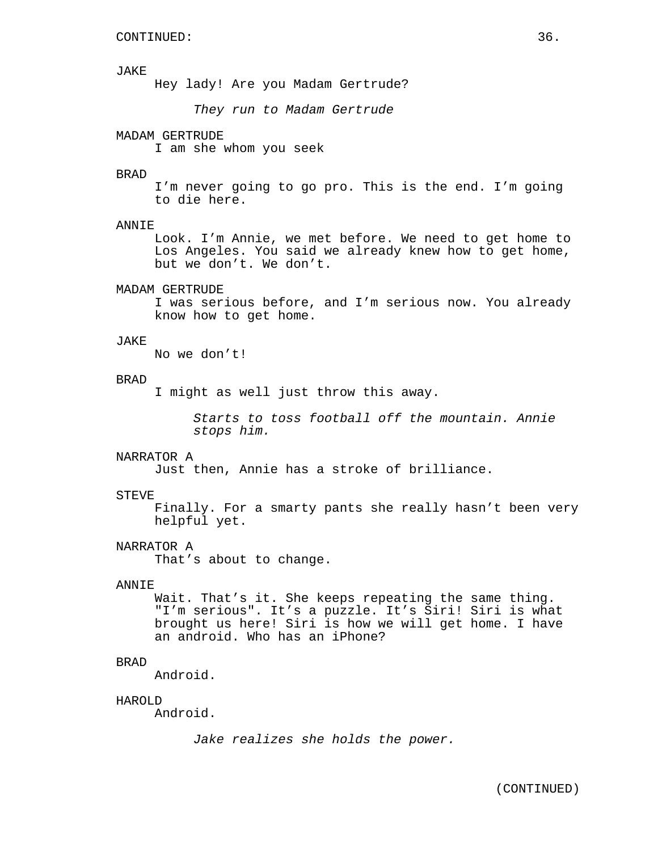## JAKE

Hey lady! Are you Madam Gertrude?

*They run to Madam Gertrude*

## MADAM GERTRUDE

I am she whom you seek

#### BRAD

I'm never going to go pro. This is the end. I'm going to die here.

#### ANNIE

Look. I'm Annie, we met before. We need to get home to Los Angeles. You said we already knew how to get home, but we don't. We don't.

## MADAM GERTRUDE

I was serious before, and I'm serious now. You already know how to get home.

### JAKE

No we don't!

#### BRAD

I might as well just throw this away.

*Starts to toss football off the mountain. Annie stops him.*

#### NARRATOR A

Just then, Annie has a stroke of brilliance.

#### STEVE

Finally. For a smarty pants she really hasn't been very helpful yet.

### NARRATOR A

That's about to change.

## ANNIE

Wait. That's it. She keeps repeating the same thing. "I'm serious". It's a puzzle. It's Siri! Siri is what brought us here! Siri is how we will get home. I have an android. Who has an iPhone?

## BRAD

Android.

#### HAROLD

Android.

*Jake realizes she holds the power.*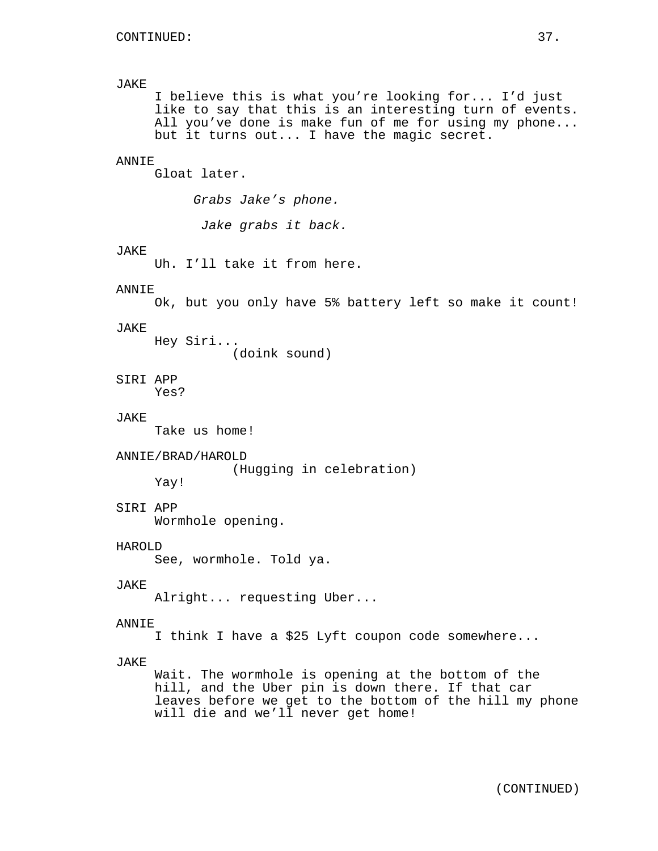JAKE I believe this is what you're looking for... I'd just like to say that this is an interesting turn of events. All you've done is make fun of me for using my phone... but it turns out... I have the magic secret. ANNIE Gloat later. *Grabs Jake's phone. Jake grabs it back.* JAKE Uh. I'll take it from here. ANNIE Ok, but you only have 5% battery left so make it count! JAKE Hey Siri... (doink sound) SIRI APP Yes? JAKE Take us home! ANNIE/BRAD/HAROLD (Hugging in celebration) Yay! SIRI APP Wormhole opening. HAROLD See, wormhole. Told ya. JAKE Alright... requesting Uber... ANNIE I think I have a \$25 Lyft coupon code somewhere... JAKE Wait. The wormhole is opening at the bottom of the hill, and the Uber pin is down there. If that car leaves before we get to the bottom of the hill my phone will die and we'll never get home!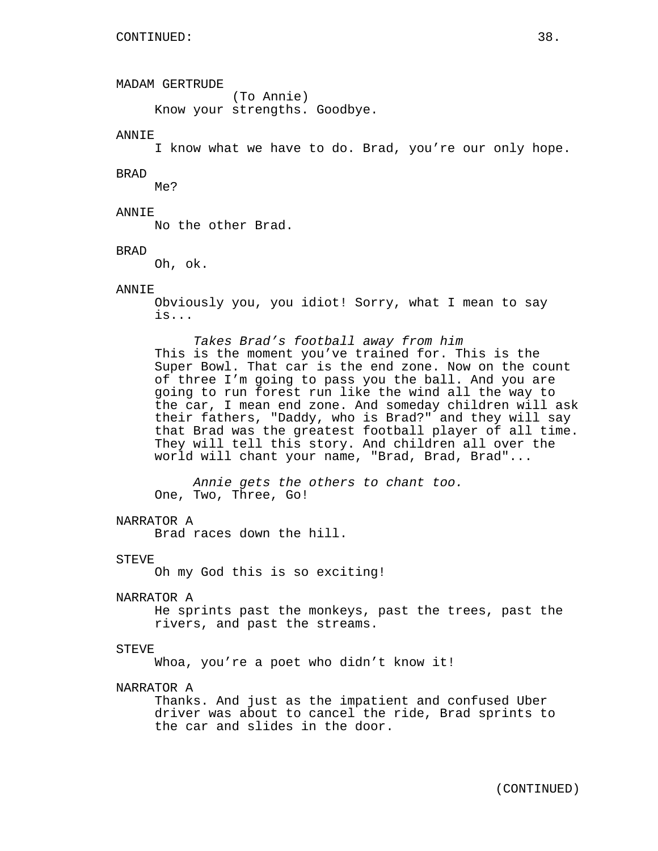MADAM GERTRUDE

(To Annie) Know your strengths. Goodbye.

ANNIE

I know what we have to do. Brad, you're our only hope.

#### BRAD

Me?

## ANNIE

No the other Brad.

#### BRAD

Oh, ok.

## ANNIE

Obviously you, you idiot! Sorry, what I mean to say is...

*Takes Brad's football away from him* This is the moment you've trained for. This is the Super Bowl. That car is the end zone. Now on the count of three I'm going to pass you the ball. And you are going to run forest run like the wind all the way to the car, I mean end zone. And someday children will ask their fathers, "Daddy, who is Brad?" and they will say that Brad was the greatest football player of all time. They will tell this story. And children all over the world will chant your name, "Brad, Brad, Brad"...

*Annie gets the others to chant too.* One, Two, Three, Go!

# NARRATOR A

Brad races down the hill.

#### STEVE

Oh my God this is so exciting!

## NARRATOR A

He sprints past the monkeys, past the trees, past the rivers, and past the streams.

## STEVE

Whoa, you're a poet who didn't know it!

## NARRATOR A

Thanks. And just as the impatient and confused Uber driver was about to cancel the ride, Brad sprints to the car and slides in the door.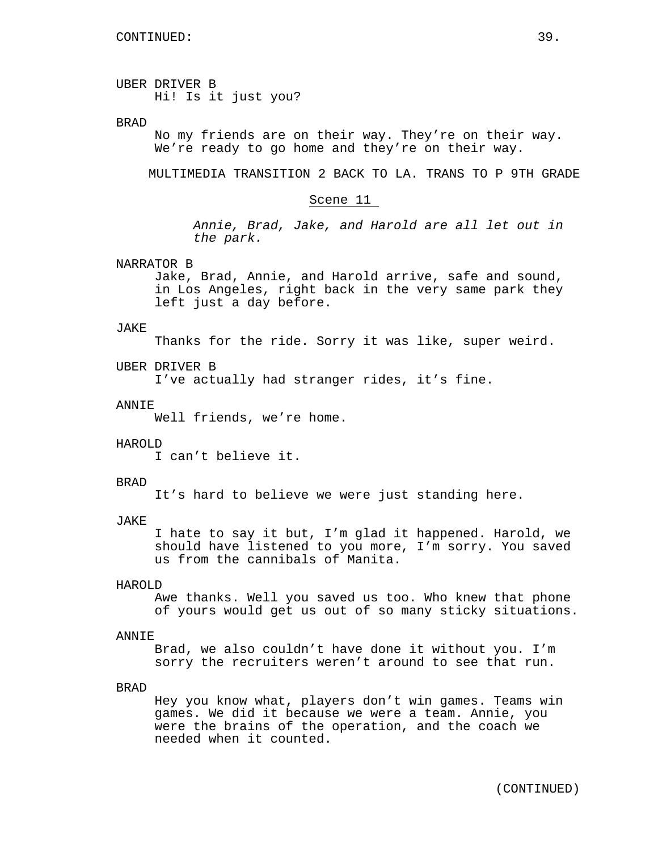UBER DRIVER B Hi! Is it just you?

## BRAD

No my friends are on their way. They're on their way. We're ready to go home and they're on their way.

MULTIMEDIA TRANSITION 2 BACK TO LA. TRANS TO P 9TH GRADE

Scene 11

*Annie, Brad, Jake, and Harold are all let out in the park.*

#### NARRATOR B

Jake, Brad, Annie, and Harold arrive, safe and sound, in Los Angeles, right back in the very same park they left just a day before.

#### JAKE

Thanks for the ride. Sorry it was like, super weird.

## UBER DRIVER B

I've actually had stranger rides, it's fine.

#### ANNIE

Well friends, we're home.

#### HAROLD

I can't believe it.

#### BRAD

It's hard to believe we were just standing here.

#### JAKE

I hate to say it but, I'm glad it happened. Harold, we should have listened to you more, I'm sorry. You saved us from the cannibals of Manita.

## HAROLD

Awe thanks. Well you saved us too. Who knew that phone of yours would get us out of so many sticky situations.

### ANNIE

Brad, we also couldn't have done it without you. I'm sorry the recruiters weren't around to see that run.

### BRAD

Hey you know what, players don't win games. Teams win games. We did it because we were a team. Annie, you were the brains of the operation, and the coach we needed when it counted.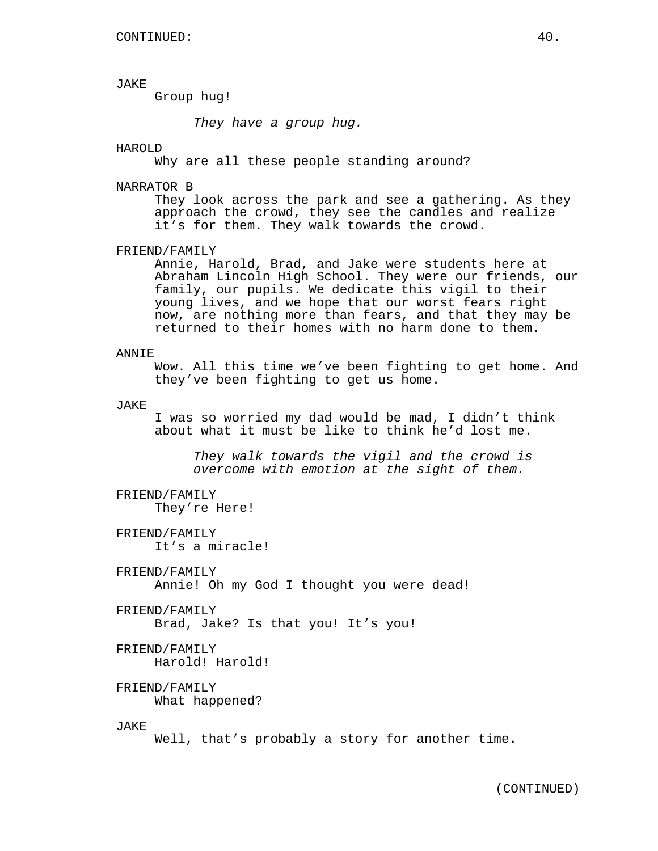# JAKE

Group hug!

*They have a group hug.*

## HAROLD

Why are all these people standing around?

#### NARRATOR B

They look across the park and see a gathering. As they approach the crowd, they see the candles and realize it's for them. They walk towards the crowd.

### FRIEND/FAMILY

Annie, Harold, Brad, and Jake were students here at Abraham Lincoln High School. They were our friends, our family, our pupils. We dedicate this vigil to their young lives, and we hope that our worst fears right now, are nothing more than fears, and that they may be returned to their homes with no harm done to them.

#### ANNIE

Wow. All this time we've been fighting to get home. And they've been fighting to get us home.

#### JAKE

I was so worried my dad would be mad, I didn't think about what it must be like to think he'd lost me.

*They walk towards the vigil and the crowd is overcome with emotion at the sight of them.*

# FRIEND/FAMILY

They're Here!

FRIEND/FAMILY It's a miracle!

### FRIEND/FAMILY

Annie! Oh my God I thought you were dead!

## FRIEND/FAMILY

Brad, Jake? Is that you! It's you!

## FRIEND/FAMILY

Harold! Harold!

## FRIEND/FAMILY What happened?

## JAKE

Well, that's probably a story for another time.